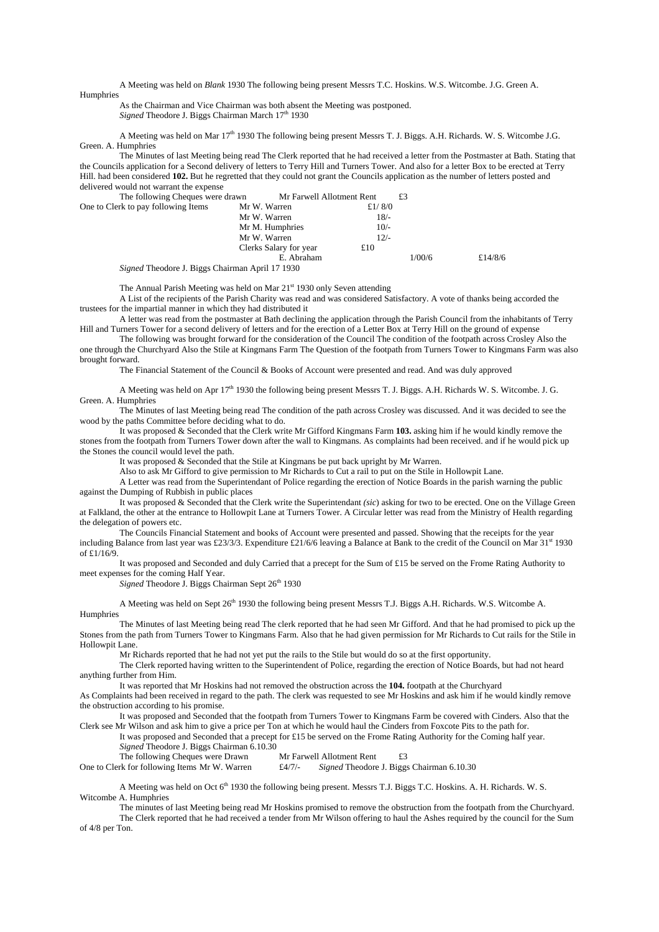A Meeting was held on *Blank* 1930 The following being present Messrs T.C. Hoskins. W.S. Witcombe. J.G. Green A.

Humphries

As the Chairman and Vice Chairman was both absent the Meeting was postponed. *Signed* Theodore J. Biggs Chairman March 17<sup>th</sup> 1930

A Meeting was held on Mar 17<sup>th</sup> 1930 The following being present Messrs T. J. Biggs. A.H. Richards. W. S. Witcombe J.G. Green. A. Humphries

The Minutes of last Meeting being read The Clerk reported that he had received a letter from the Postmaster at Bath. Stating that the Councils application for a Second delivery of letters to Terry Hill and Turners Tower. And also for a letter Box to be erected at Terry Hill. had been considered **102.** But he regretted that they could not grant the Councils application as the number of letters posted and delivered would not warrant the expense

| The following Cheques were drawn    | Mr Farwell Allotment Rent |           | £3     |         |
|-------------------------------------|---------------------------|-----------|--------|---------|
| One to Clerk to pay following Items | Mr W. Warren              | £ $1/8/0$ |        |         |
|                                     | Mr W. Warren              | $18/-$    |        |         |
|                                     | Mr M. Humphries           | $10/-$    |        |         |
|                                     | Mr W. Warren              | $12/-$    |        |         |
|                                     | Clerks Salary for year    | £10       |        |         |
|                                     | E. Abraham                |           | 1/00/6 | £14/8/6 |
| $\sim$ .<br>$\sim$<br>$  -$<br>$-1$ | $\cdots$                  |           |        |         |

*Signed* Theodore J. Biggs Chairman April 17 1930

The Annual Parish Meeting was held on Mar  $21<sup>st</sup>$  1930 only Seven attending

A List of the recipients of the Parish Charity was read and was considered Satisfactory. A vote of thanks being accorded the trustees for the impartial manner in which they had distributed it

A letter was read from the postmaster at Bath declining the application through the Parish Council from the inhabitants of Terry Hill and Turners Tower for a second delivery of letters and for the erection of a Letter Box at Terry Hill on the ground of expense

The following was brought forward for the consideration of the Council The condition of the footpath across Crosley Also the one through the Churchyard Also the Stile at Kingmans Farm The Question of the footpath from Turners Tower to Kingmans Farm was also brought forward.

The Financial Statement of the Council & Books of Account were presented and read. And was duly approved

A Meeting was held on Apr 17th 1930 the following being present Messrs T. J. Biggs. A.H. Richards W. S. Witcombe. J. G. Green. A. Humphries

The Minutes of last Meeting being read The condition of the path across Crosley was discussed. And it was decided to see the wood by the paths Committee before deciding what to do.

It was proposed & Seconded that the Clerk write Mr Gifford Kingmans Farm **103.** asking him if he would kindly remove the stones from the footpath from Turners Tower down after the wall to Kingmans. As complaints had been received. and if he would pick up the Stones the council would level the path.

It was proposed & Seconded that the Stile at Kingmans be put back upright by Mr Warren.

Also to ask Mr Gifford to give permission to Mr Richards to Cut a rail to put on the Stile in Hollowpit Lane.

A Letter was read from the Superintendant of Police regarding the erection of Notice Boards in the parish warning the public against the Dumping of Rubbish in public places

It was proposed & Seconded that the Clerk write the Superintendant *(sic*) asking for two to be erected. One on the Village Green at Falkland, the other at the entrance to Hollowpit Lane at Turners Tower. A Circular letter was read from the Ministry of Health regarding the delegation of powers etc.

The Councils Financial Statement and books of Account were presented and passed. Showing that the receipts for the year including Balance from last year was £23/3/3. Expenditure £21/6/6 leaving a Balance at Bank to the credit of the Council on Mar  $31<sup>st</sup>$  1930 of £1/16/9.

It was proposed and Seconded and duly Carried that a precept for the Sum of £15 be served on the Frome Rating Authority to meet expenses for the coming Half Year.

Signed Theodore J. Biggs Chairman Sept 26<sup>th</sup> 1930

A Meeting was held on Sept 26<sup>th</sup> 1930 the following being present Messrs T.J. Biggs A.H. Richards. W.S. Witcombe A. **Humphries** 

The Minutes of last Meeting being read The clerk reported that he had seen Mr Gifford. And that he had promised to pick up the Stones from the path from Turners Tower to Kingmans Farm. Also that he had given permission for Mr Richards to Cut rails for the Stile in Hollowpit Lane.

Mr Richards reported that he had not yet put the rails to the Stile but would do so at the first opportunity.

The Clerk reported having written to the Superintendent of Police, regarding the erection of Notice Boards, but had not heard anything further from Him.

It was reported that Mr Hoskins had not removed the obstruction across the **104.** footpath at the Churchyard

As Complaints had been received in regard to the path. The clerk was requested to see Mr Hoskins and ask him if he would kindly remove the obstruction according to his promise.

It was proposed and Seconded that the footpath from Turners Tower to Kingmans Farm be covered with Cinders. Also that the Clerk see Mr Wilson and ask him to give a price per Ton at which he would haul the Cinders from Foxcote Pits to the path for.

It was proposed and Seconded that a precept for £15 be served on the Frome Rating Authority for the Coming half year. *Signed* Theodore J. Biggs Chairman 6.10.30

The following Cheques were Drawn Mr Farwell Allotment Rent £3

One to Clerk for following Items Mr W. Warren £4/7/- *Signed* Theodore J. Biggs Chairman 6.10.30

A Meeting was held on Oct  $6<sup>th</sup>$  1930 the following being present. Messrs T.J. Biggs T.C. Hoskins. A. H. Richards. W. S. Witcombe A. Humphries

The minutes of last Meeting being read Mr Hoskins promised to remove the obstruction from the footpath from the Churchyard. The Clerk reported that he had received a tender from Mr Wilson offering to haul the Ashes required by the council for the Sum of 4/8 per Ton.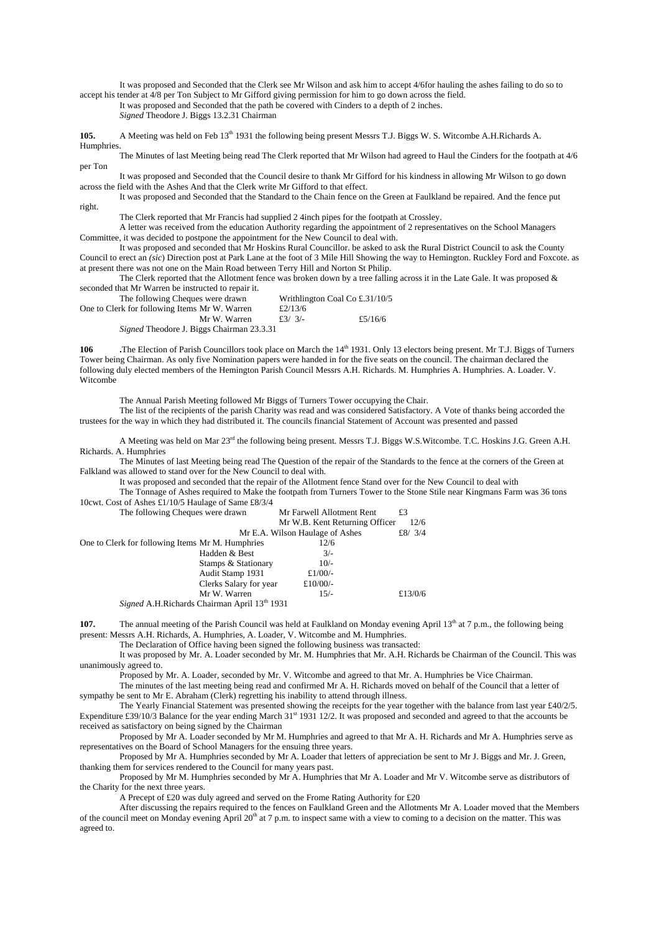It was proposed and Seconded that the Clerk see Mr Wilson and ask him to accept 4/6for hauling the ashes failing to do so to accept his tender at 4/8 per Ton Subject to Mr Gifford giving permission for him to go down across the field.

It was proposed and Seconded that the path be covered with Cinders to a depth of 2 inches. *Signed* Theodore J. Biggs 13.2.31 Chairman

**105.** A Meeting was held on Feb 13<sup>th</sup> 1931 the following being present Messrs T.J. Biggs W. S. Witcombe A.H.Richards A. Humphries.

The Minutes of last Meeting being read The Clerk reported that Mr Wilson had agreed to Haul the Cinders for the footpath at 4/6 per Ton

It was proposed and Seconded that the Council desire to thank Mr Gifford for his kindness in allowing Mr Wilson to go down across the field with the Ashes And that the Clerk write Mr Gifford to that effect.

It was proposed and Seconded that the Standard to the Chain fence on the Green at Faulkland be repaired. And the fence put right.

The Clerk reported that Mr Francis had supplied 2 4inch pipes for the footpath at Crossley.

A letter was received from the education Authority regarding the appointment of 2 representatives on the School Managers Committee, it was decided to postpone the appointment for the New Council to deal with.

It was proposed and seconded that Mr Hoskins Rural Councillor. be asked to ask the Rural District Council to ask the County Council to erect an *(sic*) Direction post at Park Lane at the foot of 3 Mile Hill Showing the way to Hemington. Ruckley Ford and Foxcote. as at present there was not one on the Main Road between Terry Hill and Norton St Philip.

The Clerk reported that the Allotment fence was broken down by a tree falling across it in the Late Gale. It was proposed  $\&$ seconded that Mr Warren be instructed to repair it.

| The following Cheques were drawn                 |         | Writhlington Coal Co £.31/10/5 |
|--------------------------------------------------|---------|--------------------------------|
| One to Clerk for following Items Mr W. Warren    | £2/13/6 |                                |
| Mr W. Warren                                     | f3/3/   | £5/16/6                        |
| <i>Signed</i> Theodore J. Biggs Chairman 23.3.31 |         |                                |

106 The Election of Parish Councillors took place on March the 14<sup>th</sup> 1931. Only 13 electors being present. Mr T.J. Biggs of Turners Tower being Chairman. As only five Nomination papers were handed in for the five seats on the council. The chairman declared the following duly elected members of the Hemington Parish Council Messrs A.H. Richards. M. Humphries A. Humphries. A. Loader. V. Witcombe

The Annual Parish Meeting followed Mr Biggs of Turners Tower occupying the Chair.

The list of the recipients of the parish Charity was read and was considered Satisfactory. A Vote of thanks being accorded the trustees for the way in which they had distributed it. The councils financial Statement of Account was presented and passed

A Meeting was held on Mar 23<sup>rd</sup> the following being present. Messrs T.J. Biggs W.S.Witcombe. T.C. Hoskins J.G. Green A.H. Richards. A. Humphries

The Minutes of last Meeting being read The Question of the repair of the Standards to the fence at the corners of the Green at Falkland was allowed to stand over for the New Council to deal with.

It was proposed and seconded that the repair of the Allotment fence Stand over for the New Council to deal with

The Tonnage of Ashes required to Make the footpath from Turners Tower to the Stone Stile near Kingmans Farm was 36 tons 10cwt. Cost of Ashes £1/10/5 Haulage of Same £8/3/4

| The following Cheques were drawn                 |                                              | Mr Farwell Allotment Rent       | £3        |
|--------------------------------------------------|----------------------------------------------|---------------------------------|-----------|
|                                                  |                                              | Mr W.B. Kent Returning Officer  | 12/6      |
|                                                  |                                              | Mr E.A. Wilson Haulage of Ashes | £8/ $3/4$ |
| One to Clerk for following Items Mr M. Humphries |                                              | 12/6                            |           |
|                                                  | Hadden & Best                                | $3/-$                           |           |
|                                                  | Stamps & Stationary                          | $10/-$                          |           |
|                                                  | Audit Stamp 1931                             | £ $1/00/-$                      |           |
|                                                  | Clerks Salary for year                       | £10/00/-                        |           |
|                                                  | Mr W. Warren                                 | $15/-$                          | £13/0/6   |
|                                                  | Signed A.H.Richards Chairman April 13th 1931 |                                 |           |

**107.** The annual meeting of the Parish Council was held at Faulkland on Monday evening April 13<sup>th</sup> at 7 p.m., the following being present: Messrs A.H. Richards, A. Humphries, A. Loader, V. Witcombe and M. Humphries.

The Declaration of Office having been signed the following business was transacted:

It was proposed by Mr. A. Loader seconded by Mr. M. Humphries that Mr. A.H. Richards be Chairman of the Council. This was unanimously agreed to.

Proposed by Mr. A. Loader, seconded by Mr. V. Witcombe and agreed to that Mr. A. Humphries be Vice Chairman.

The minutes of the last meeting being read and confirmed Mr A. H. Richards moved on behalf of the Council that a letter of sympathy be sent to Mr E. Abraham (Clerk) regretting his inability to attend through illness.

The Yearly Financial Statement was presented showing the receipts for the year together with the balance from last year £40/2/5. Expenditure £39/10/3 Balance for the year ending March 31<sup>st</sup> 1931 12/2. It was proposed and seconded and agreed to that the accounts be received as satisfactory on being signed by the Chairman

Proposed by Mr A. Loader seconded by Mr M. Humphries and agreed to that Mr A. H. Richards and Mr A. Humphries serve as representatives on the Board of School Managers for the ensuing three years.

Proposed by Mr A. Humphries seconded by Mr A. Loader that letters of appreciation be sent to Mr J. Biggs and Mr. J. Green, thanking them for services rendered to the Council for many years past.

Proposed by Mr M. Humphries seconded by Mr A. Humphries that Mr A. Loader and Mr V. Witcombe serve as distributors of the Charity for the next three years.

A Precept of £20 was duly agreed and served on the Frome Rating Authority for £20

After discussing the repairs required to the fences on Faulkland Green and the Allotments Mr A. Loader moved that the Members of the council meet on Monday evening April 20<sup>th</sup> at 7 p.m. to inspect same with a view to coming to a decision on the matter. This was agreed to.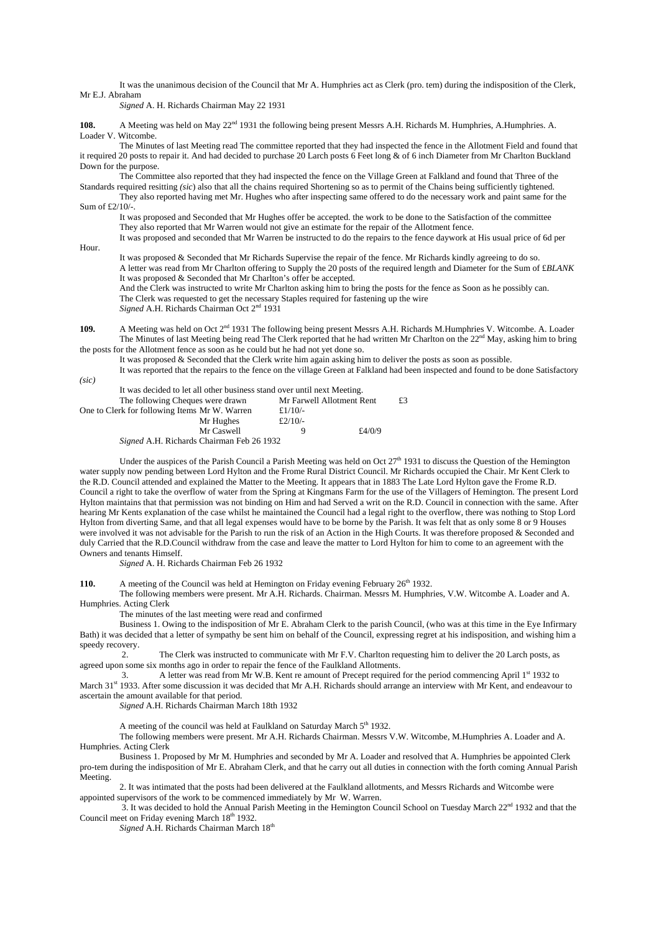It was the unanimous decision of the Council that Mr A. Humphries act as Clerk (pro. tem) during the indisposition of the Clerk, Mr E.J. Abraham

*Signed* A. H. Richards Chairman May 22 1931

108. A Meeting was held on May 22<sup>nd</sup> 1931 the following being present Messrs A.H. Richards M. Humphries, A.Humphries. A. Loader V. Witcombe.

The Minutes of last Meeting read The committee reported that they had inspected the fence in the Allotment Field and found that it required 20 posts to repair it. And had decided to purchase 20 Larch posts 6 Feet long & of 6 inch Diameter from Mr Charlton Buckland Down for the purpose.

The Committee also reported that they had inspected the fence on the Village Green at Falkland and found that Three of the Standards required resitting *(sic*) also that all the chains required Shortening so as to permit of the Chains being sufficiently tightened.

They also reported having met Mr. Hughes who after inspecting same offered to do the necessary work and paint same for the Sum of £2/10/-.

It was proposed and Seconded that Mr Hughes offer be accepted. the work to be done to the Satisfaction of the committee They also reported that Mr Warren would not give an estimate for the repair of the Allotment fence.

It was proposed and seconded that Mr Warren be instructed to do the repairs to the fence daywork at His usual price of 6d per

Hour.

It was proposed & Seconded that Mr Richards Supervise the repair of the fence. Mr Richards kindly agreeing to do so. A letter was read from Mr Charlton offering to Supply the 20 posts of the required length and Diameter for the Sum of £*BLANK* It was proposed & Seconded that Mr Charlton's offer be accepted. And the Clerk was instructed to write Mr Charlton asking him to bring the posts for the fence as Soon as he possibly can. The Clerk was requested to get the necessary Staples required for fastening up the wire

*Signed* A.H. Richards Chairman Oct 2nd 1931

**109.** A Meeting was held on Oct 2<sup>nd</sup> 1931 The following being present Messrs A.H. Richards M.Humphries V. Witcombe. A. Loader The Minutes of last Meeting being read The Clerk reported that he had written Mr Charlton on the 22nd May, asking him to bring the posts for the Allotment fence as soon as he could but he had not yet done so.

It was proposed & Seconded that the Clerk write him again asking him to deliver the posts as soon as possible.

It was reported that the repairs to the fence on the village Green at Falkland had been inspected and found to be done Satisfactory *(sic)* 

It was decided to let all other business stand over until next Meeting.

| Mr Farwell Allotment Rent                        |        |  |
|--------------------------------------------------|--------|--|
| £ $1/10/-$                                       |        |  |
| £ $2/10/-$                                       |        |  |
| a                                                | £4/0/9 |  |
| <i>Signed</i> A.H. Richards Chairman Feb 26 1932 |        |  |
|                                                  |        |  |

Under the auspices of the Parish Council a Parish Meeting was held on Oct  $27<sup>th</sup>$  1931 to discuss the Question of the Hemington water supply now pending between Lord Hylton and the Frome Rural District Council. Mr Richards occupied the Chair. Mr Kent Clerk to the R.D. Council attended and explained the Matter to the Meeting. It appears that in 1883 The Late Lord Hylton gave the Frome R.D. Council a right to take the overflow of water from the Spring at Kingmans Farm for the use of the Villagers of Hemington. The present Lord Hylton maintains that that permission was not binding on Him and had Served a writ on the R.D. Council in connection with the same. After hearing Mr Kents explanation of the case whilst he maintained the Council had a legal right to the overflow, there was nothing to Stop Lord Hylton from diverting Same, and that all legal expenses would have to be borne by the Parish. It was felt that as only some 8 or 9 Houses were involved it was not advisable for the Parish to run the risk of an Action in the High Courts. It was therefore proposed & Seconded and duly Carried that the R.D.Council withdraw from the case and leave the matter to Lord Hylton for him to come to an agreement with the Owners and tenants Himself.

*Signed* A. H. Richards Chairman Feb 26 1932

110. A meeting of the Council was held at Hemington on Friday evening February 26<sup>th</sup> 1932.

The following members were present. Mr A.H. Richards. Chairman. Messrs M. Humphries, V.W. Witcombe A. Loader and A. Humphries. Acting Clerk

The minutes of the last meeting were read and confirmed

Business 1. Owing to the indisposition of Mr E. Abraham Clerk to the parish Council, (who was at this time in the Eye Infirmary Bath) it was decided that a letter of sympathy be sent him on behalf of the Council, expressing regret at his indisposition, and wishing him a speedy recovery.

 2. The Clerk was instructed to communicate with Mr F.V. Charlton requesting him to deliver the 20 Larch posts, as agreed upon some six months ago in order to repair the fence of the Faulkland Allotments.

3. A letter was read from Mr W.B. Kent re amount of Precept required for the period commencing April  $1<sup>st</sup>$  1932 to March 31<sup>st</sup> 1933. After some discussion it was decided that Mr A.H. Richards should arrange an interview with Mr Kent, and endeavour to ascertain the amount available for that period.

*Signed* A.H. Richards Chairman March 18th 1932

A meeting of the council was held at Faulkland on Saturday March 5<sup>th</sup> 1932.

The following members were present. Mr A.H. Richards Chairman. Messrs V.W. Witcombe, M.Humphries A. Loader and A. Humphries. Acting Clerk

Business 1. Proposed by Mr M. Humphries and seconded by Mr A. Loader and resolved that A. Humphries be appointed Clerk pro-tem during the indisposition of Mr E. Abraham Clerk, and that he carry out all duties in connection with the forth coming Annual Parish Meeting.

 2. It was intimated that the posts had been delivered at the Faulkland allotments, and Messrs Richards and Witcombe were appointed supervisors of the work to be commenced immediately by Mr W. Warren.

3. It was decided to hold the Annual Parish Meeting in the Hemington Council School on Tuesday March  $22<sup>nd</sup>$  1932 and that the Council meet on Friday evening March 18<sup>th</sup> 1932.

*Signed* A.H. Richards Chairman March 18<sup>th</sup>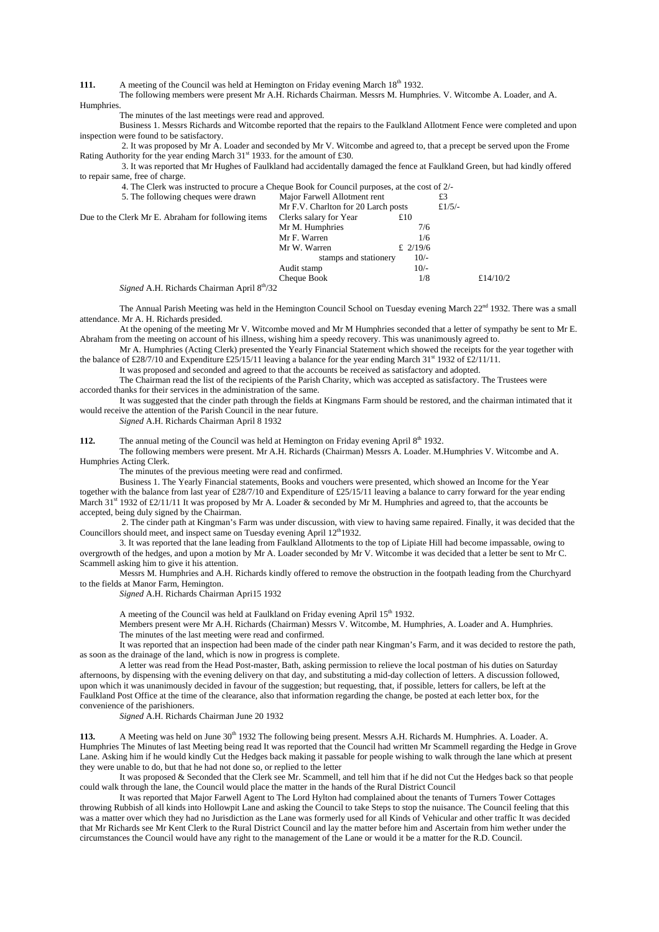**111.** A meeting of the Council was held at Hemington on Friday evening March 18<sup>th</sup> 1932.

The following members were present Mr A.H. Richards Chairman. Messrs M. Humphries. V. Witcombe A. Loader, and A. **Humphries** 

The minutes of the last meetings were read and approved.

Business 1. Messrs Richards and Witcombe reported that the repairs to the Faulkland Allotment Fence were completed and upon inspection were found to be satisfactory.

 2. It was proposed by Mr A. Loader and seconded by Mr V. Witcombe and agreed to, that a precept be served upon the Frome Rating Authority for the year ending March  $31<sup>st</sup>$  1933. for the amount of £30.

 3. It was reported that Mr Hughes of Faulkland had accidentally damaged the fence at Faulkland Green, but had kindly offered to repair same, free of charge.

4. The Clerk was instructed to procure a Cheque Book for Council purposes, at the cost of 2/-

| 5. The following cheques were drawn                | Major Farwell Allotment rent        |            | £3        |          |
|----------------------------------------------------|-------------------------------------|------------|-----------|----------|
|                                                    | Mr F.V. Charlton for 20 Larch posts |            | £ $1/5/-$ |          |
| Due to the Clerk Mr E. Abraham for following items | Clerks salary for Year              | £ $10$     |           |          |
|                                                    | Mr M. Humphries                     | 7/6        |           |          |
|                                                    | Mr F. Warren                        | 1/6        |           |          |
|                                                    | Mr W. Warren                        | £ $2/19/6$ |           |          |
|                                                    | stamps and stationery               | $10/-$     |           |          |
|                                                    | Audit stamp                         | $10/-$     |           |          |
|                                                    | Cheque Book                         | 1/8        |           | £14/10/2 |
|                                                    |                                     |            |           |          |

*Signed* A.H. Richards Chairman April 8<sup>th</sup>/32

The Annual Parish Meeting was held in the Hemington Council School on Tuesday evening March 22nd 1932. There was a small attendance. Mr A. H. Richards presided.

At the opening of the meeting Mr V. Witcombe moved and Mr M Humphries seconded that a letter of sympathy be sent to Mr E. Abraham from the meeting on account of his illness, wishing him a speedy recovery. This was unanimously agreed to.

Mr A. Humphries (Acting Clerk) presented the Yearly Financial Statement which showed the receipts for the year together with the balance of £28/7/10 and Expenditure £25/15/11 leaving a balance for the year ending March 31<sup>st</sup> 1932 of £2/11/11.

It was proposed and seconded and agreed to that the accounts be received as satisfactory and adopted.

The Chairman read the list of the recipients of the Parish Charity, which was accepted as satisfactory. The Trustees were accorded thanks for their services in the administration of the same.

It was suggested that the cinder path through the fields at Kingmans Farm should be restored, and the chairman intimated that it would receive the attention of the Parish Council in the near future.

*Signed* A.H. Richards Chairman April 8 1932

112. The annual meting of the Council was held at Hemington on Friday evening April 8<sup>th</sup> 1932.

The following members were present. Mr A.H. Richards (Chairman) Messrs A. Loader. M.Humphries V. Witcombe and A. Humphries Acting Clerk.

The minutes of the previous meeting were read and confirmed.

Business 1. The Yearly Financial statements, Books and vouchers were presented, which showed an Income for the Year together with the balance from last year of £28/7/10 and Expenditure of £25/15/11 leaving a balance to carry forward for the year ending March 31<sup>st</sup> 1932 of £2/11/11 It was proposed by Mr A. Loader & seconded by Mr M. Humphries and agreed to, that the accounts be accepted, being duly signed by the Chairman.

 2. The cinder path at Kingman's Farm was under discussion, with view to having same repaired. Finally, it was decided that the Councillors should meet, and inspect same on Tuesday evening April 12<sup>th</sup>1932.

 3. It was reported that the lane leading from Faulkland Allotments to the top of Lipiate Hill had become impassable, owing to overgrowth of the hedges, and upon a motion by Mr A. Loader seconded by Mr V. Witcombe it was decided that a letter be sent to Mr C. Scammell asking him to give it his attention.

 Messrs M. Humphries and A.H. Richards kindly offered to remove the obstruction in the footpath leading from the Churchyard to the fields at Manor Farm, Hemington.

*Signed* A.H. Richards Chairman Apri15 1932

A meeting of the Council was held at Faulkland on Friday evening April 15<sup>th</sup> 1932.

Members present were Mr A.H. Richards (Chairman) Messrs V. Witcombe, M. Humphries, A. Loader and A. Humphries. The minutes of the last meeting were read and confirmed.

It was reported that an inspection had been made of the cinder path near Kingman's Farm, and it was decided to restore the path, as soon as the drainage of the land, which is now in progress is complete.

A letter was read from the Head Post-master, Bath, asking permission to relieve the local postman of his duties on Saturday afternoons, by dispensing with the evening delivery on that day, and substituting a mid-day collection of letters. A discussion followed, upon which it was unanimously decided in favour of the suggestion; but requesting, that, if possible, letters for callers, be left at the Faulkland Post Office at the time of the clearance, also that information regarding the change, be posted at each letter box, for the convenience of the parishioners.

*Signed* A.H. Richards Chairman June 20 1932

**113.** A Meeting was held on June 30<sup>th</sup> 1932 The following being present. Messrs A.H. Richards M. Humphries. A. Loader. A. Humphries The Minutes of last Meeting being read It was reported that the Council had written Mr Scammell regarding the Hedge in Grove Lane. Asking him if he would kindly Cut the Hedges back making it passable for people wishing to walk through the lane which at present they were unable to do, but that he had not done so, or replied to the letter

It was proposed & Seconded that the Clerk see Mr. Scammell, and tell him that if he did not Cut the Hedges back so that people could walk through the lane, the Council would place the matter in the hands of the Rural District Council

It was reported that Major Farwell Agent to The Lord Hylton had complained about the tenants of Turners Tower Cottages throwing Rubbish of all kinds into Hollowpit Lane and asking the Council to take Steps to stop the nuisance. The Council feeling that this was a matter over which they had no Jurisdiction as the Lane was formerly used for all Kinds of Vehicular and other traffic It was decided that Mr Richards see Mr Kent Clerk to the Rural District Council and lay the matter before him and Ascertain from him wether under the circumstances the Council would have any right to the management of the Lane or would it be a matter for the R.D. Council.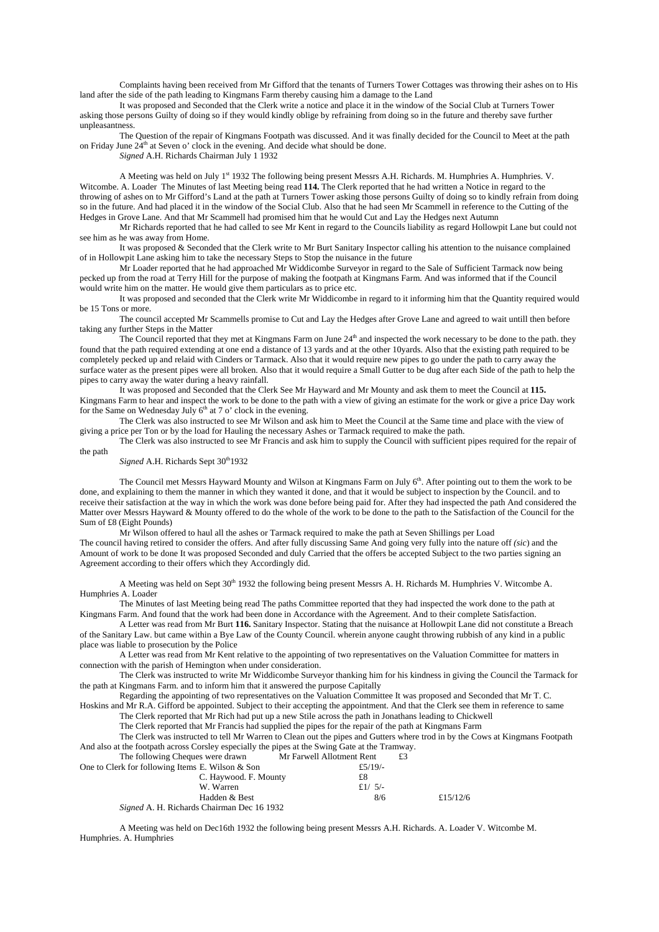Complaints having been received from Mr Gifford that the tenants of Turners Tower Cottages was throwing their ashes on to His land after the side of the path leading to Kingmans Farm thereby causing him a damage to the Land

It was proposed and Seconded that the Clerk write a notice and place it in the window of the Social Club at Turners Tower asking those persons Guilty of doing so if they would kindly oblige by refraining from doing so in the future and thereby save further unpleasantness.

The Question of the repair of Kingmans Footpath was discussed. And it was finally decided for the Council to Meet at the path on Friday June  $24<sup>th</sup>$  at Seven o' clock in the evening. And decide what should be done.

*Signed* A.H. Richards Chairman July 1 1932

A Meeting was held on July 1<sup>st</sup> 1932 The following being present Messrs A.H. Richards. M. Humphries A. Humphries. V. Witcombe. A. Loader The Minutes of last Meeting being read **114.** The Clerk reported that he had written a Notice in regard to the throwing of ashes on to Mr Gifford's Land at the path at Turners Tower asking those persons Guilty of doing so to kindly refrain from doing so in the future. And had placed it in the window of the Social Club. Also that he had seen Mr Scammell in reference to the Cutting of the Hedges in Grove Lane. And that Mr Scammell had promised him that he would Cut and Lay the Hedges next Autumn

Mr Richards reported that he had called to see Mr Kent in regard to the Councils liability as regard Hollowpit Lane but could not see him as he was away from Home.

It was proposed & Seconded that the Clerk write to Mr Burt Sanitary Inspector calling his attention to the nuisance complained of in Hollowpit Lane asking him to take the necessary Steps to Stop the nuisance in the future

Mr Loader reported that he had approached Mr Widdicombe Surveyor in regard to the Sale of Sufficient Tarmack now being pecked up from the road at Terry Hill for the purpose of making the footpath at Kingmans Farm. And was informed that if the Council would write him on the matter. He would give them particulars as to price etc.

It was proposed and seconded that the Clerk write Mr Widdicombe in regard to it informing him that the Quantity required would be 15 Tons or more.

The council accepted Mr Scammells promise to Cut and Lay the Hedges after Grove Lane and agreed to wait untill then before taking any further Steps in the Matter

The Council reported that they met at Kingmans Farm on June 24<sup>th</sup> and inspected the work necessary to be done to the path. they found that the path required extending at one end a distance of 13 yards and at the other 10yards. Also that the existing path required to be completely pecked up and relaid with Cinders or Tarmack. Also that it would require new pipes to go under the path to carry away the surface water as the present pipes were all broken. Also that it would require a Small Gutter to be dug after each Side of the path to help the pipes to carry away the water during a heavy rainfall.

It was proposed and Seconded that the Clerk See Mr Hayward and Mr Mounty and ask them to meet the Council at **115.** Kingmans Farm to hear and inspect the work to be done to the path with a view of giving an estimate for the work or give a price Day work for the Same on Wednesday July  $6<sup>th</sup>$  at 7 o' clock in the evening.

The Clerk was also instructed to see Mr Wilson and ask him to Meet the Council at the Same time and place with the view of giving a price per Ton or by the load for Hauling the necessary Ashes or Tarmack required to make the path.

The Clerk was also instructed to see Mr Francis and ask him to supply the Council with sufficient pipes required for the repair of the path

## *Signed* A.H. Richards Sept 30<sup>th</sup>1932

The Council met Messrs Hayward Mounty and Wilson at Kingmans Farm on July 6<sup>th</sup>. After pointing out to them the work to be done, and explaining to them the manner in which they wanted it done, and that it would be subject to inspection by the Council. and to receive their satisfaction at the way in which the work was done before being paid for. After they had inspected the path And considered the Matter over Messrs Hayward & Mounty offered to do the whole of the work to be done to the path to the Satisfaction of the Council for the Sum of £8 (Eight Pounds)

Mr Wilson offered to haul all the ashes or Tarmack required to make the path at Seven Shillings per Load The council having retired to consider the offers. And after fully discussing Same And going very fully into the nature off *(sic*) and the Amount of work to be done It was proposed Seconded and duly Carried that the offers be accepted Subject to the two parties signing an Agreement according to their offers which they Accordingly did.

A Meeting was held on Sept 30<sup>th</sup> 1932 the following being present Messrs A. H. Richards M. Humphries V. Witcombe A. Humphries A. Loader

The Minutes of last Meeting being read The paths Committee reported that they had inspected the work done to the path at Kingmans Farm. And found that the work had been done in Accordance with the Agreement. And to their complete Satisfaction.

A Letter was read from Mr Burt **116.** Sanitary Inspector. Stating that the nuisance at Hollowpit Lane did not constitute a Breach of the Sanitary Law. but came within a Bye Law of the County Council. wherein anyone caught throwing rubbish of any kind in a public place was liable to prosecution by the Police

A Letter was read from Mr Kent relative to the appointing of two representatives on the Valuation Committee for matters in connection with the parish of Hemington when under consideration.

The Clerk was instructed to write Mr Widdicombe Surveyor thanking him for his kindness in giving the Council the Tarmack for the path at Kingmans Farm. and to inform him that it answered the purpose Capitally

Regarding the appointing of two representatives on the Valuation Committee It was proposed and Seconded that Mr T. C. Hoskins and Mr R.A. Gifford be appointed. Subject to their accepting the appointment. And that the Clerk see them in reference to same

The Clerk reported that Mr Rich had put up a new Stile across the path in Jonathans leading to Chickwell

The Clerk reported that Mr Francis had supplied the pipes for the repair of the path at Kingmans Farm

The Clerk was instructed to tell Mr Warren to Clean out the pipes and Gutters where trod in by the Cows at Kingmans Footpath And also at the footpath across Corsley especially the pipes at the Swing Gate at the Tramway.

| The following Cheques were drawn                 | Mr Farwell Allotment Rent | £3       |
|--------------------------------------------------|---------------------------|----------|
| One to Clerk for following Items E. Wilson & Son | £5/19/-                   |          |
| C. Haywood. F. Mounty                            | £8                        |          |
| W. Warren                                        | £1/ $5/-$                 |          |
| Hadden & Best                                    | 8/6                       | £15/12/6 |
| Signed A. H. Richards Chairman Dec 16 1932       |                           |          |

A Meeting was held on Dec16th 1932 the following being present Messrs A.H. Richards. A. Loader V. Witcombe M. Humphries. A. Humphries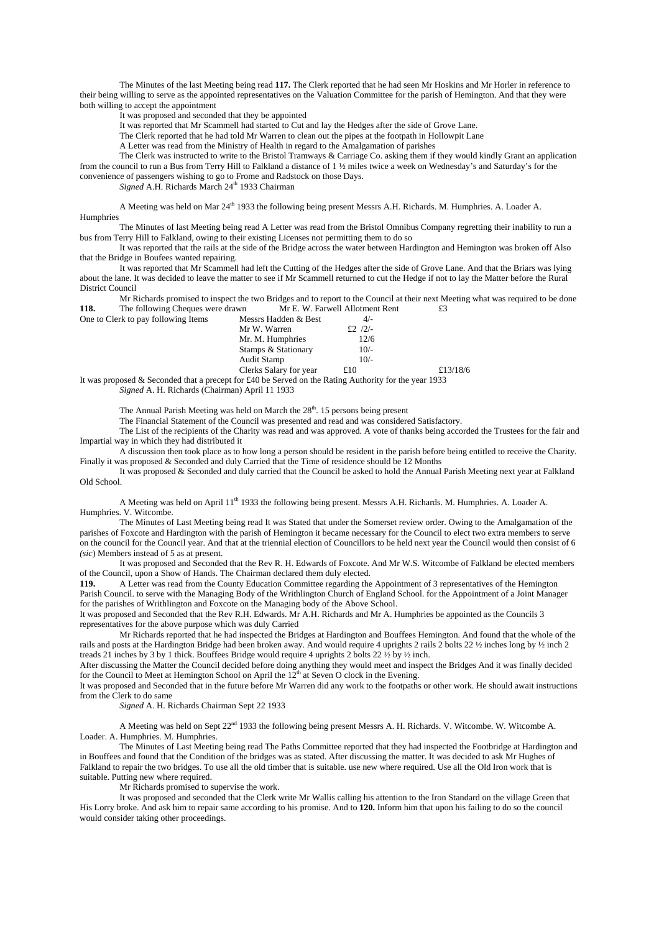The Minutes of the last Meeting being read **117.** The Clerk reported that he had seen Mr Hoskins and Mr Horler in reference to their being willing to serve as the appointed representatives on the Valuation Committee for the parish of Hemington. And that they were both willing to accept the appointment

It was proposed and seconded that they be appointed

It was reported that Mr Scammell had started to Cut and lay the Hedges after the side of Grove Lane.

The Clerk reported that he had told Mr Warren to clean out the pipes at the footpath in Hollowpit Lane

A Letter was read from the Ministry of Health in regard to the Amalgamation of parishes

The Clerk was instructed to write to the Bristol Tramways & Carriage Co. asking them if they would kindly Grant an application from the council to run a Bus from Terry Hill to Falkland a distance of 1 ½ miles twice a week on Wednesday's and Saturday's for the convenience of passengers wishing to go to Frome and Radstock on those Days.

*Signed* A.H. Richards March 24<sup>th</sup> 1933 Chairman

A Meeting was held on Mar 24<sup>th</sup> 1933 the following being present Messrs A.H. Richards. M. Humphries. A. Loader A. Humphries

The Minutes of last Meeting being read A Letter was read from the Bristol Omnibus Company regretting their inability to run a bus from Terry Hill to Falkland, owing to their existing Licenses not permitting them to do so

It was reported that the rails at the side of the Bridge across the water between Hardington and Hemington was broken off Also that the Bridge in Boufees wanted repairing.

It was reported that Mr Scammell had left the Cutting of the Hedges after the side of Grove Lane. And that the Briars was lying about the lane. It was decided to leave the matter to see if Mr Scammell returned to cut the Hedge if not to lay the Matter before the Rural District Council

Mr Richards promised to inspect the two Bridges and to report to the Council at their next Meeting what was required to be done<br>The following Cheques were drawn Mr E. W. Farwell Allotment Rent  $\text{£3}$ **118.** The following Cheques were drawn Mr E. W. Farwell Allotment Rent £3 One to Clerk to pay following Items

| One to Clerk to pay following Items | Messrs Hadden & Best   | $4/-$     |
|-------------------------------------|------------------------|-----------|
|                                     | Mr W. Warren           | £2 $/2/-$ |
|                                     | Mr. M. Humphries       | 12/6      |
|                                     | Stamps & Stationary    | $10/-$    |
|                                     | <b>Audit Stamp</b>     | $10/-$    |
|                                     | Clerks Salary for year | £10       |

It was proposed & Seconded that a precept for £40 be Served on the Rating Authority for the year 1933 *Signed* A. H. Richards (Chairman) April 11 1933

The Annual Parish Meeting was held on March the  $28<sup>th</sup>$ . 15 persons being present

The Financial Statement of the Council was presented and read and was considered Satisfactory.

The List of the recipients of the Charity was read and was approved. A vote of thanks being accorded the Trustees for the fair and Impartial way in which they had distributed it

£13/18/6

A discussion then took place as to how long a person should be resident in the parish before being entitled to receive the Charity. Finally it was proposed & Seconded and duly Carried that the Time of residence should be 12 Months

It was proposed & Seconded and duly carried that the Council be asked to hold the Annual Parish Meeting next year at Falkland Old School.

A Meeting was held on April 11<sup>th</sup> 1933 the following being present. Messrs A.H. Richards. M. Humphries. A. Loader A. Humphries. V. Witcombe.

The Minutes of Last Meeting being read It was Stated that under the Somerset review order. Owing to the Amalgamation of the parishes of Foxcote and Hardington with the parish of Hemington it became necessary for the Council to elect two extra members to serve on the council for the Council year. And that at the triennial election of Councillors to be held next year the Council would then consist of 6 *(sic*) Members instead of 5 as at present.

It was proposed and Seconded that the Rev R. H. Edwards of Foxcote. And Mr W.S. Witcombe of Falkland be elected members of the Council, upon a Show of Hands. The Chairman declared them duly elected.

**119.** A Letter was read from the County Education Committee regarding the Appointment of 3 representatives of the Hemington Parish Council. to serve with the Managing Body of the Writhlington Church of England School. for the Appointment of a Joint Manager for the parishes of Writhlington and Foxcote on the Managing body of the Above School.

It was proposed and Seconded that the Rev R.H. Edwards. Mr A.H. Richards and Mr A. Humphries be appointed as the Councils 3 representatives for the above purpose which was duly Carried

Mr Richards reported that he had inspected the Bridges at Hardington and Bouffees Hemington. And found that the whole of the rails and posts at the Hardington Bridge had been broken away. And would require 4 uprights 2 rails 2 bolts 22 ½ inches long by ½ inch 2 treads 21 inches by 3 by 1 thick. Bouffees Bridge would require 4 uprights 2 bolts 22 ½ by ½ inch.

After discussing the Matter the Council decided before doing anything they would meet and inspect the Bridges And it was finally decided for the Council to Meet at Hemington School on April the  $12<sup>th</sup>$  at Seven O clock in the Evening.

It was proposed and Seconded that in the future before Mr Warren did any work to the footpaths or other work. He should await instructions from the Clerk to do same

*Signed* A. H. Richards Chairman Sept 22 1933

A Meeting was held on Sept 22<sup>nd</sup> 1933 the following being present Messrs A. H. Richards. V. Witcombe. W. Witcombe A. Loader. A. Humphries. M. Humphries.

The Minutes of Last Meeting being read The Paths Committee reported that they had inspected the Footbridge at Hardington and in Bouffees and found that the Condition of the bridges was as stated. After discussing the matter. It was decided to ask Mr Hughes of Falkland to repair the two bridges. To use all the old timber that is suitable. use new where required. Use all the Old Iron work that is suitable. Putting new where required.

Mr Richards promised to supervise the work.

It was proposed and seconded that the Clerk write Mr Wallis calling his attention to the Iron Standard on the village Green that His Lorry broke. And ask him to repair same according to his promise. And to **120.** Inform him that upon his failing to do so the council would consider taking other proceedings.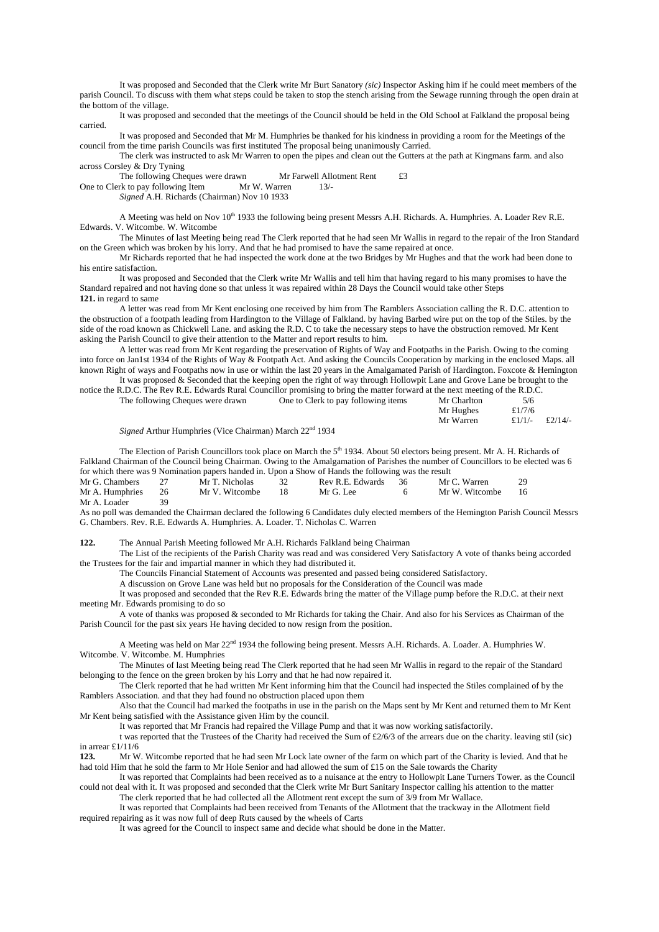It was proposed and Seconded that the Clerk write Mr Burt Sanatory *(sic)* Inspector Asking him if he could meet members of the parish Council. To discuss with them what steps could be taken to stop the stench arising from the Sewage running through the open drain at the bottom of the village.

It was proposed and seconded that the meetings of the Council should be held in the Old School at Falkland the proposal being carried.

It was proposed and Seconded that Mr M. Humphries be thanked for his kindness in providing a room for the Meetings of the council from the time parish Councils was first instituted The proposal being unanimously Carried.

The clerk was instructed to ask Mr Warren to open the pipes and clean out the Gutters at the path at Kingmans farm. and also across Corsley & Dry Tyning

The following Cheques were drawn Mr Farwell Allotment Rent £3<br>rk to pay following Item Mr W. Warren 13/-

One to Clerk to pay following Item

*Signed* A.H. Richards (Chairman) Nov 10 1933

A Meeting was held on Nov 10<sup>th</sup> 1933 the following being present Messrs A.H. Richards. A. Humphries. A. Loader Rev R.E. Edwards. V. Witcombe. W. Witcombe

The Minutes of last Meeting being read The Clerk reported that he had seen Mr Wallis in regard to the repair of the Iron Standard on the Green which was broken by his lorry. And that he had promised to have the same repaired at once.

Mr Richards reported that he had inspected the work done at the two Bridges by Mr Hughes and that the work had been done to his entire satisfaction.

It was proposed and Seconded that the Clerk write Mr Wallis and tell him that having regard to his many promises to have the Standard repaired and not having done so that unless it was repaired within 28 Days the Council would take other Steps **121.** in regard to same

A letter was read from Mr Kent enclosing one received by him from The Ramblers Association calling the R. D.C. attention to the obstruction of a footpath leading from Hardington to the Village of Falkland. by having Barbed wire put on the top of the Stiles. by the side of the road known as Chickwell Lane. and asking the R.D. C to take the necessary steps to have the obstruction removed. Mr Kent asking the Parish Council to give their attention to the Matter and report results to him.

A letter was read from Mr Kent regarding the preservation of Rights of Way and Footpaths in the Parish. Owing to the coming into force on Jan1st 1934 of the Rights of Way & Footpath Act. And asking the Councils Cooperation by marking in the enclosed Maps. all known Right of ways and Footpaths now in use or within the last 20 years in the Amalgamated Parish of Hardington. Foxcote & Hemington

It was proposed & Seconded that the keeping open the right of way through Hollowpit Lane and Grove Lane be brought to the notice the R.D.C. The Rev R.E. Edwards Rural Councillor promising to bring the matter forward at the next meeting of the R.D.C. The following Cheques were drawn One to Clerk to pay following items Mr Charlton 5/6

| The following Cheques were drawn | One to Clerk to pay following items | Mr Chariton |                |  |
|----------------------------------|-------------------------------------|-------------|----------------|--|
|                                  |                                     | Mr Hughes   | £ $1/7/6$      |  |
|                                  |                                     | Mr Warren   | £1/1/- £2/14/- |  |
|                                  |                                     |             |                |  |

*Signed* Arthur Humphries (Vice Chairman) March 22<sup>nd</sup> 1934

The Election of Parish Councillors took place on March the 5<sup>th</sup> 1934. About 50 electors being present. Mr A. H. Richards of Falkland Chairman of the Council being Chairman. Owing to the Amalgamation of Parishes the number of Councillors to be elected was 6 for which there was 9 Nomination papers handed in. Upon a Show of Hands the following was the result

| Mr G. Chambers 27  | Mr T. Nicholas    | 32 <sup>0</sup> | Rev R.E. Edwards 36 | Mr C. Warren      | 29 |
|--------------------|-------------------|-----------------|---------------------|-------------------|----|
| Mr A. Humphries 26 | Mr V. Witcombe 18 |                 | Mr G. Lee           | Mr W. Witcombe 16 |    |
| Mr A. Loader       |                   |                 |                     |                   |    |

As no poll was demanded the Chairman declared the following 6 Candidates duly elected members of the Hemington Parish Council Messrs G. Chambers. Rev. R.E. Edwards A. Humphries. A. Loader. T. Nicholas C. Warren

**122.** The Annual Parish Meeting followed Mr A.H. Richards Falkland being Chairman

The List of the recipients of the Parish Charity was read and was considered Very Satisfactory A vote of thanks being accorded the Trustees for the fair and impartial manner in which they had distributed it.

The Councils Financial Statement of Accounts was presented and passed being considered Satisfactory.

A discussion on Grove Lane was held but no proposals for the Consideration of the Council was made

It was proposed and seconded that the Rev R.E. Edwards bring the matter of the Village pump before the R.D.C. at their next meeting Mr. Edwards promising to do so

A vote of thanks was proposed & seconded to Mr Richards for taking the Chair. And also for his Services as Chairman of the Parish Council for the past six years He having decided to now resign from the position.

A Meeting was held on Mar 22<sup>nd</sup> 1934 the following being present. Messrs A.H. Richards. A. Loader. A. Humphries W. Witcombe. V. Witcombe. M. Humphries

The Minutes of last Meeting being read The Clerk reported that he had seen Mr Wallis in regard to the repair of the Standard belonging to the fence on the green broken by his Lorry and that he had now repaired it.

The Clerk reported that he had written Mr Kent informing him that the Council had inspected the Stiles complained of by the Ramblers Association. and that they had found no obstruction placed upon them

Also that the Council had marked the footpaths in use in the parish on the Maps sent by Mr Kent and returned them to Mr Kent Mr Kent being satisfied with the Assistance given Him by the council.

It was reported that Mr Francis had repaired the Village Pump and that it was now working satisfactorily.

t was reported that the Trustees of the Charity had received the Sum of £2/6/3 of the arrears due on the charity. leaving stil (sic) in arrear £1/11/6<br>123 Mr W

**123.** Mr W. Witcombe reported that he had seen Mr Lock late owner of the farm on which part of the Charity is levied. And that he had told Him that he sold the farm to Mr Hole Senior and had allowed the sum of £15 on the Sale towards the Charity

 It was reported that Complaints had been received as to a nuisance at the entry to Hollowpit Lane Turners Tower. as the Council could not deal with it. It was proposed and seconded that the Clerk write Mr Burt Sanitary Inspector calling his attention to the matter The clerk reported that he had collected all the Allotment rent except the sum of 3/9 from Mr Wallace.

 It was reported that Complaints had been received from Tenants of the Allotment that the trackway in the Allotment field required repairing as it was now full of deep Ruts caused by the wheels of Carts

It was agreed for the Council to inspect same and decide what should be done in the Matter.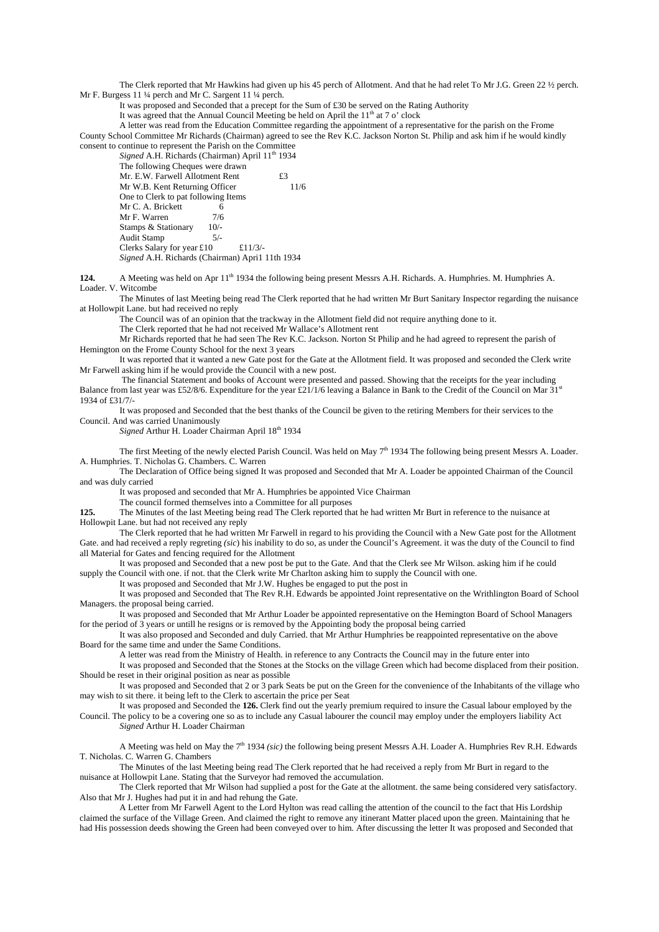The Clerk reported that Mr Hawkins had given up his 45 perch of Allotment. And that he had relet To Mr J.G. Green 22 ½ perch. Mr F. Burgess 11 ¼ perch and Mr C. Sargent 11 ¼ perch.

It was proposed and Seconded that a precept for the Sum of £30 be served on the Rating Authority

It was agreed that the Annual Council Meeting be held on April the  $11<sup>th</sup>$  at 7 o' clock

 A letter was read from the Education Committee regarding the appointment of a representative for the parish on the Frome County School Committee Mr Richards (Chairman) agreed to see the Rev K.C. Jackson Norton St. Philip and ask him if he would kindly consent to continue to represent the Parish on the Committee

Signed A.H. Richards (Chairman) April 11<sup>th</sup> 1934 The following Cheques were drawn Mr. E.W. Farwell Allotment Rent £3<br>Mr. W. B. Kent Returning Officer 11/6 Mr W.B. Kent Returning Officer One to Clerk to pat following Items Mr C. A. Brickett 6<br>Mr F. Warren 7/6 Mr F. Warren  $7/6$ <br>Stamps & Stationary  $10/2$ Stamps & Stationary 10/-<br>Audit Stamp 5/-Audit Stamp Clerks Salary for year £10  $£11/3/$ *Signed* A.H. Richards (Chairman) Apri1 11th 1934

**124.** A Meeting was held on Apr 11<sup>th</sup> 1934 the following being present Messrs A.H. Richards. A. Humphries. M. Humphries A. Loader. V. Witcombe

 The Minutes of last Meeting being read The Clerk reported that he had written Mr Burt Sanitary Inspector regarding the nuisance at Hollowpit Lane. but had received no reply

The Council was of an opinion that the trackway in the Allotment field did not require anything done to it.

The Clerk reported that he had not received Mr Wallace's Allotment rent

 Mr Richards reported that he had seen The Rev K.C. Jackson. Norton St Philip and he had agreed to represent the parish of Hemington on the Frome County School for the next 3 years

 It was reported that it wanted a new Gate post for the Gate at the Allotment field. It was proposed and seconded the Clerk write Mr Farwell asking him if he would provide the Council with a new post.

 The financial Statement and books of Account were presented and passed. Showing that the receipts for the year including Balance from last year was £52/8/6. Expenditure for the year £21/1/6 leaving a Balance in Bank to the Credit of the Council on Mar 31<sup>st</sup> 1934 of £31/7/-

 It was proposed and Seconded that the best thanks of the Council be given to the retiring Members for their services to the Council. And was carried Unanimously

*Signed* Arthur H. Loader Chairman April 18<sup>th</sup> 1934

The first Meeting of the newly elected Parish Council. Was held on May  $7<sup>th</sup>$  1934 The following being present Messrs A. Loader. A. Humphries. T. Nicholas G. Chambers. C. Warren

The Declaration of Office being signed It was proposed and Seconded that Mr A. Loader be appointed Chairman of the Council and was duly carried

It was proposed and seconded that Mr A. Humphries be appointed Vice Chairman

The council formed themselves into a Committee for all purposes

**125.** The Minutes of the last Meeting being read The Clerk reported that he had written Mr Burt in reference to the nuisance at Hollowpit Lane. but had not received any reply

 The Clerk reported that he had written Mr Farwell in regard to his providing the Council with a New Gate post for the Allotment Gate. and had received a reply regreting *(sic*) his inability to do so, as under the Council's Agreement. it was the duty of the Council to find all Material for Gates and fencing required for the Allotment

 It was proposed and Seconded that a new post be put to the Gate. And that the Clerk see Mr Wilson. asking him if he could supply the Council with one. if not. that the Clerk write Mr Charlton asking him to supply the Council with one.

It was proposed and Seconded that Mr J.W. Hughes be engaged to put the post in

 It was proposed and Seconded that The Rev R.H. Edwards be appointed Joint representative on the Writhlington Board of School Managers. the proposal being carried.

 It was proposed and Seconded that Mr Arthur Loader be appointed representative on the Hemington Board of School Managers for the period of 3 years or untill he resigns or is removed by the Appointing body the proposal being carried

 It was also proposed and Seconded and duly Carried. that Mr Arthur Humphries be reappointed representative on the above Board for the same time and under the Same Conditions.

A letter was read from the Ministry of Health. in reference to any Contracts the Council may in the future enter into

 It was proposed and Seconded that the Stones at the Stocks on the village Green which had become displaced from their position. Should be reset in their original position as near as possible

 It was proposed and Seconded that 2 or 3 park Seats be put on the Green for the convenience of the Inhabitants of the village who may wish to sit there. it being left to the Clerk to ascertain the price per Seat

 It was proposed and Seconded the **126.** Clerk find out the yearly premium required to insure the Casual labour employed by the Council. The policy to be a covering one so as to include any Casual labourer the council may employ under the employers liability Act *Signed* Arthur H. Loader Chairman

A Meeting was held on May the 7th 1934 *(sic)* the following being present Messrs A.H. Loader A. Humphries Rev R.H. Edwards T. Nicholas. C. Warren G. Chambers

 The Minutes of the last Meeting being read The Clerk reported that he had received a reply from Mr Burt in regard to the nuisance at Hollowpit Lane. Stating that the Surveyor had removed the accumulation.

 The Clerk reported that Mr Wilson had supplied a post for the Gate at the allotment. the same being considered very satisfactory. Also that Mr J. Hughes had put it in and had rehung the Gate.

 A Letter from Mr Farwell Agent to the Lord Hylton was read calling the attention of the council to the fact that His Lordship claimed the surface of the Village Green. And claimed the right to remove any itinerant Matter placed upon the green. Maintaining that he had His possession deeds showing the Green had been conveyed over to him. After discussing the letter It was proposed and Seconded that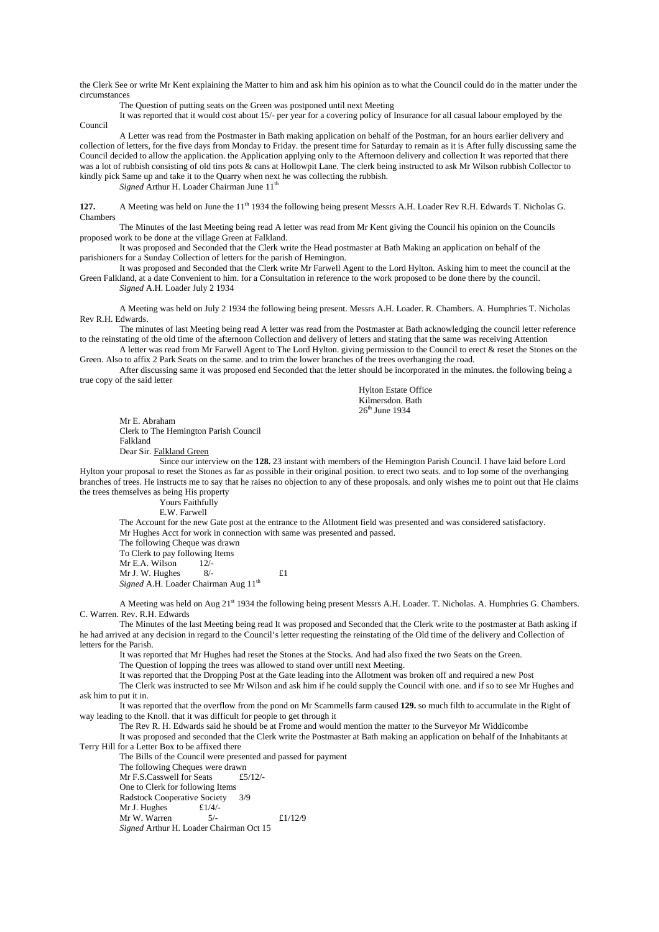the Clerk See or write Mr Kent explaining the Matter to him and ask him his opinion as to what the Council could do in the matter under the circumstances

The Question of putting seats on the Green was postponed until next Meeting

 It was reported that it would cost about 15/- per year for a covering policy of Insurance for all casual labour employed by the Council

 A Letter was read from the Postmaster in Bath making application on behalf of the Postman, for an hours earlier delivery and collection of letters, for the five days from Monday to Friday. the present time for Saturday to remain as it is After fully discussing same the Council decided to allow the application. the Application applying only to the Afternoon delivery and collection It was reported that there was a lot of rubbish consisting of old tins pots & cans at Hollowpit Lane. The clerk being instructed to ask Mr Wilson rubbish Collector to kindly pick Same up and take it to the Quarry when next he was collecting the rubbish.

*Signed* Arthur H. Loader Chairman June 11<sup>th</sup>

**127.** A Meeting was held on June the 11<sup>th</sup> 1934 the following being present Messrs A.H. Loader Rev R.H. Edwards T. Nicholas G. Chambers

 The Minutes of the last Meeting being read A letter was read from Mr Kent giving the Council his opinion on the Councils proposed work to be done at the village Green at Falkland.

 It was proposed and Seconded that the Clerk write the Head postmaster at Bath Making an application on behalf of the parishioners for a Sunday Collection of letters for the parish of Hemington.

 It was proposed and Seconded that the Clerk write Mr Farwell Agent to the Lord Hylton. Asking him to meet the council at the Green Falkland, at a date Convenient to him. for a Consultation in reference to the work proposed to be done there by the council.

*Signed* A.H. Loader July 2 1934

A Meeting was held on July 2 1934 the following being present. Messrs A.H. Loader. R. Chambers. A. Humphries T. Nicholas Rev R.H. Edwards.

The minutes of last Meeting being read A letter was read from the Postmaster at Bath acknowledging the council letter reference to the reinstating of the old time of the afternoon Collection and delivery of letters and stating that the same was receiving Attention

A letter was read from Mr Farwell Agent to The Lord Hylton. giving permission to the Council to erect & reset the Stones on the Green. Also to affix 2 Park Seats on the same. and to trim the lower branches of the trees overhanging the road.

After discussing same it was proposed end Seconded that the letter should be incorporated in the minutes. the following being a true copy of the said letter

> Hylton Estate Office Kilmersdon. Bath 26<sup>th</sup> June 1934

Mr E. Abraham Clerk to The Hemington Parish Council Falkland Dear Sir. Falkland Green

 Since our interview on the **128.** 23 instant with members of the Hemington Parish Council. I have laid before Lord Hylton your proposal to reset the Stones as far as possible in their original position. to erect two seats. and to lop some of the overhanging branches of trees. He instructs me to say that he raises no objection to any of these proposals. and only wishes me to point out that He claims the trees themselves as being His property

> Yours Faithfully E.W. Farwell

The Account for the new Gate post at the entrance to the Allotment field was presented and was considered satisfactory.

 Mr Hughes Acct for work in connection with same was presented and passed. The following Cheque was drawn

To Clerk to pay following Items<br>Mr E A. Wilson 12/- $Mr E.A.$  Wilson Mr J. W. Hughes  $8/-$  £1

*Signed* A.H. Loader Chairman Aug 11<sup>th</sup>

A Meeting was held on Aug 21<sup>st</sup> 1934 the following being present Messrs A.H. Loader. T. Nicholas. A. Humphries G. Chambers. C. Warren. Rev. R.H. Edwards

 The Minutes of the last Meeting being read It was proposed and Seconded that the Clerk write to the postmaster at Bath asking if he had arrived at any decision in regard to the Council's letter requesting the reinstating of the Old time of the delivery and Collection of letters for the Parish.

It was reported that Mr Hughes had reset the Stones at the Stocks. And had also fixed the two Seats on the Green.

The Question of lopping the trees was allowed to stand over untill next Meeting.

It was reported that the Dropping Post at the Gate leading into the Allotment was broken off and required a new Post

 The Clerk was instructed to see Mr Wilson and ask him if he could supply the Council with one. and if so to see Mr Hughes and ask him to put it in.

 It was reported that the overflow from the pond on Mr Scammells farm caused **129.** so much filth to accumulate in the Right of way leading to the Knoll. that it was difficult for people to get through it

The Rev R. H. Edwards said he should be at Frome and would mention the matter to the Surveyor Mr Widdicombe

 It was proposed and seconded that the Clerk write the Postmaster at Bath making an application on behalf of the Inhabitants at Terry Hill for a Letter Box to be affixed there

 The Bills of the Council were presented and passed for payment The following Cheques were drawn Mr F.S.Casswell for Seats £5/12/-One to Clerk for following Items<br>Padstock Cooperative Society Radstock Cooperative Society Mr J. Hughes  $£1/4/-$ <br>Mr W. Warren  $5/-$ Mr W. Warren  $5/-$  £1/12/9

*Signed* Arthur H. Loader Chairman Oct 15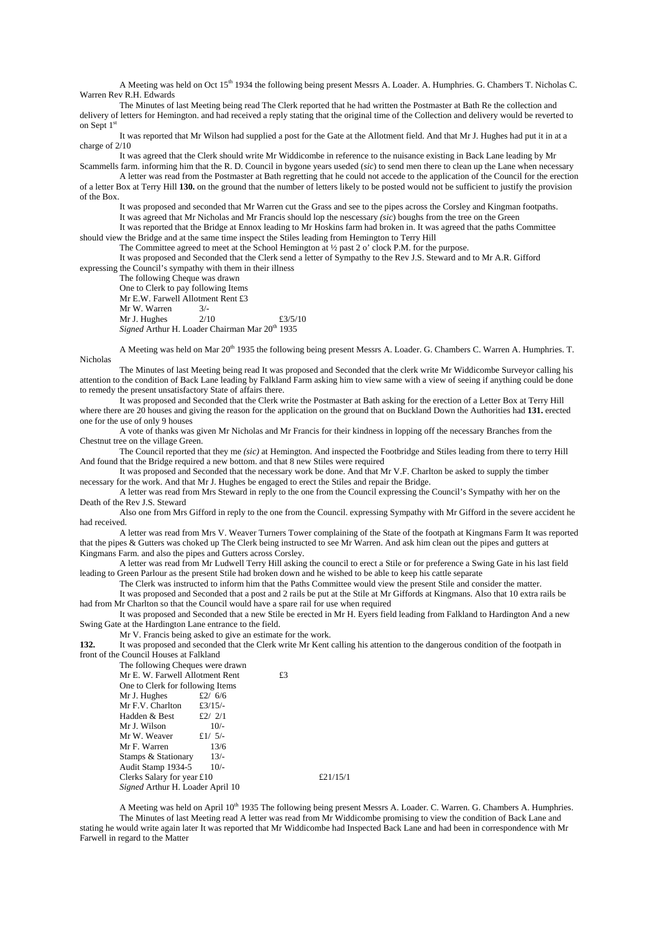A Meeting was held on Oct 15<sup>th</sup> 1934 the following being present Messrs A. Loader. A. Humphries. G. Chambers T. Nicholas C. Warren Rev R.H. Edwards

 The Minutes of last Meeting being read The Clerk reported that he had written the Postmaster at Bath Re the collection and delivery of letters for Hemington. and had received a reply stating that the original time of the Collection and delivery would be reverted to on Sept 1<sup>st</sup>

 It was reported that Mr Wilson had supplied a post for the Gate at the Allotment field. And that Mr J. Hughes had put it in at a charge of 2/10

 It was agreed that the Clerk should write Mr Widdicombe in reference to the nuisance existing in Back Lane leading by Mr Scammells farm. informing him that the R. D. Council in bygone years useded (*sic*) to send men there to clean up the Lane when necessary

 A letter was read from the Postmaster at Bath regretting that he could not accede to the application of the Council for the erection of a letter Box at Terry Hill **130.** on the ground that the number of letters likely to be posted would not be sufficient to justify the provision of the Box.

 It was proposed and seconded that Mr Warren cut the Grass and see to the pipes across the Corsley and Kingman footpaths. It was agreed that Mr Nicholas and Mr Francis should lop the nescessary *(sic*) boughs from the tree on the Green

 It was reported that the Bridge at Ennox leading to Mr Hoskins farm had broken in. It was agreed that the paths Committee should view the Bridge and at the same time inspect the Stiles leading from Hemington to Terry Hill

The Committee agreed to meet at the School Hemington at  $\frac{1}{2}$  past 2 o' clock P.M. for the purpose.

 It was proposed and Seconded that the Clerk send a letter of Sympathy to the Rev J.S. Steward and to Mr A.R. Gifford expressing the Council's sympathy with them in their illness

The following Cheque was drawn

 One to Clerk to pay following Items Mr E.W. Farwell Allotment Rent £3<br>Mr W. Warren  $\frac{3}{16}$ Mr W. Warren  $3/-$ <br>Mr I Hughes  $2/10$ Mr J. Hughes  $2/10$  £3/5/10 *Signed* Arthur H. Loader Chairman Mar 20<sup>th</sup> 1935

A Meeting was held on Mar 20<sup>th</sup> 1935 the following being present Messrs A. Loader. G. Chambers C. Warren A. Humphries. T. Nicholas

 The Minutes of last Meeting being read It was proposed and Seconded that the clerk write Mr Widdicombe Surveyor calling his attention to the condition of Back Lane leading by Falkland Farm asking him to view same with a view of seeing if anything could be done to remedy the present unsatisfactory State of affairs there.

 It was proposed and Seconded that the Clerk write the Postmaster at Bath asking for the erection of a Letter Box at Terry Hill where there are 20 houses and giving the reason for the application on the ground that on Buckland Down the Authorities had **131.** erected one for the use of only 9 houses

 A vote of thanks was given Mr Nicholas and Mr Francis for their kindness in lopping off the necessary Branches from the Chestnut tree on the village Green.

 The Council reported that they me *(sic)* at Hemington. And inspected the Footbridge and Stiles leading from there to terry Hill And found that the Bridge required a new bottom. and that 8 new Stiles were required

 It was proposed and Seconded that the necessary work be done. And that Mr V.F. Charlton be asked to supply the timber necessary for the work. And that Mr J. Hughes be engaged to erect the Stiles and repair the Bridge.

 A letter was read from Mrs Steward in reply to the one from the Council expressing the Council's Sympathy with her on the Death of the Rev J.S. Steward

 Also one from Mrs Gifford in reply to the one from the Council. expressing Sympathy with Mr Gifford in the severe accident he had received.

 A letter was read from Mrs V. Weaver Turners Tower complaining of the State of the footpath at Kingmans Farm It was reported that the pipes & Gutters was choked up The Clerk being instructed to see Mr Warren. And ask him clean out the pipes and gutters at Kingmans Farm. and also the pipes and Gutters across Corsley.

 A letter was read from Mr Ludwell Terry Hill asking the council to erect a Stile or for preference a Swing Gate in his last field leading to Green Parlour as the present Stile had broken down and he wished to be able to keep his cattle separate

The Clerk was instructed to inform him that the Paths Committee would view the present Stile and consider the matter.

 It was proposed and Seconded that a post and 2 rails be put at the Stile at Mr Giffords at Kingmans. Also that 10 extra rails be had from Mr Charlton so that the Council would have a spare rail for use when required

 It was proposed and Seconded that a new Stile be erected in Mr H. Eyers field leading from Falkland to Hardington And a new Swing Gate at the Hardington Lane entrance to the field.

Mr V. Francis being asked to give an estimate for the work.

**132.** It was proposed and seconded that the Clerk write Mr Kent calling his attention to the dangerous condition of the footpath in front of the Council Houses at Falkland

 The following Cheques were drawn Mr E. W. Farwell Allotment Rent  $\qquad 53$  One to Clerk for following Items Mr J. Hughes  $\pounds 2\binom{6}{6}$ Mr F.V. Charlton  $\frac{23}{15}$ -<br>Hadden & Best  $\frac{62}{7}$  2/1 Hadden  $&$  Best Mr J. Wilson  $10/-$ Mr W. Weaver  $\frac{f1}{5/-}$ <br>Mr F. Warren  $\frac{13}{6}$ Mr F. Warren  $13/6$ <br>Stamps & Stationary  $13/6$ Stamps & Stationary Audit Stamp 1934-5 10/-Clerks Salary for year £10  $\pounds 21/15/1$ *Signed* Arthur H. Loader April 10

A Meeting was held on April 10<sup>th</sup> 1935 The following being present Messrs A. Loader. C. Warren. G. Chambers A. Humphries. The Minutes of last Meeting read A letter was read from Mr Widdicombe promising to view the condition of Back Lane and stating he would write again later It was reported that Mr Widdicombe had Inspected Back Lane and had been in correspondence with Mr Farwell in regard to the Matter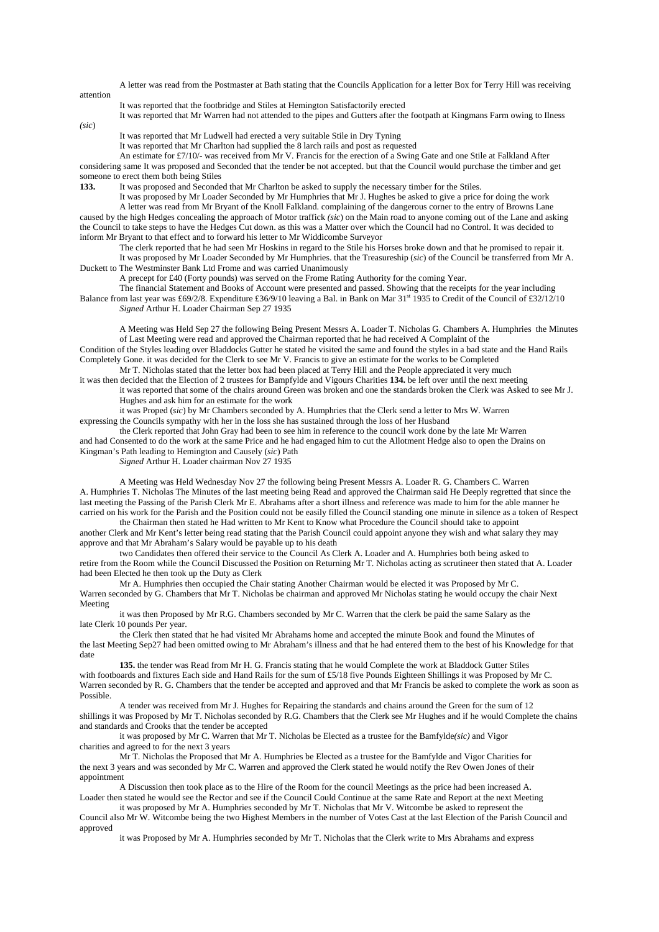A letter was read from the Postmaster at Bath stating that the Councils Application for a letter Box for Terry Hill was receiving

It was reported that the footbridge and Stiles at Hemington Satisfactorily erected

It was reported that Mr Warren had not attended to the pipes and Gutters after the footpath at Kingmans Farm owing to Ilness

*(sic*)

attention

It was reported that Mr Ludwell had erected a very suitable Stile in Dry Tyning

It was reported that Mr Charlton had supplied the 8 larch rails and post as requested

An estimate for £7/10/- was received from Mr V. Francis for the erection of a Swing Gate and one Stile at Falkland After considering same It was proposed and Seconded that the tender be not accepted. but that the Council would purchase the timber and get someone to erect them both being Stiles<br>133. It was proposed and Seconde

**133.** It was proposed and Seconded that Mr Charlton be asked to supply the necessary timber for the Stiles.

 It was proposed by Mr Loader Seconded by Mr Humphries that Mr J. Hughes be asked to give a price for doing the work A letter was read from Mr Bryant of the Knoll Falkland. complaining of the dangerous corner to the entry of Browns Lane caused by the high Hedges concealing the approach of Motor traffick *(sic*) on the Main road to anyone coming out of the Lane and asking the Council to take steps to have the Hedges Cut down. as this was a Matter over which the Council had no Control. It was decided to inform Mr Bryant to that effect and to forward his letter to Mr Widdicombe Surveyor

 The clerk reported that he had seen Mr Hoskins in regard to the Stile his Horses broke down and that he promised to repair it. It was proposed by Mr Loader Seconded by Mr Humphries. that the Treasureship (*sic*) of the Council be transferred from Mr A. Duckett to The Westminster Bank Ltd Frome and was carried Unanimously

A precept for £40 (Forty pounds) was served on the Frome Rating Authority for the coming Year.

 The financial Statement and Books of Account were presented and passed. Showing that the receipts for the year including Balance from last year was £69/2/8. Expenditure £36/9/10 leaving a Bal. in Bank on Mar 31<sup>st</sup> 1935 to Credit of the Council of £32/12/10 *Signed* Arthur H. Loader Chairman Sep 27 1935

A Meeting was Held Sep 27 the following Being Present Messrs A. Loader T. Nicholas G. Chambers A. Humphries the Minutes of Last Meeting were read and approved the Chairman reported that he had received A Complaint of the

Condition of the Styles leading over Bladdocks Gutter he stated he visited the same and found the styles in a bad state and the Hand Rails Completely Gone. it was decided for the Clerk to see Mr V. Francis to give an estimate for the works to be Completed

Mr T. Nicholas stated that the letter box had been placed at Terry Hill and the People appreciated it very much it was then decided that the Election of 2 trustees for Bampfylde and Vigours Charities **134.** be left over until the next meeting

it was reported that some of the chairs around Green was broken and one the standards broken the Clerk was Asked to see Mr J. Hughes and ask him for an estimate for the work

it was Proped (*sic*) by Mr Chambers seconded by A. Humphries that the Clerk send a letter to Mrs W. Warren expressing the Councils sympathy with her in the loss she has sustained through the loss of her Husband

the Clerk reported that John Gray had been to see him in reference to the council work done by the late Mr Warren

and had Consented to do the work at the same Price and he had engaged him to cut the Allotment Hedge also to open the Drains on Kingman's Path leading to Hemington and Causely (*sic*) Path

*Signed* Arthur H. Loader chairman Nov 27 1935

A Meeting was Held Wednesday Nov 27 the following being Present Messrs A. Loader R. G. Chambers C. Warren A. Humphries T. Nicholas The Minutes of the last meeting being Read and approved the Chairman said He Deeply regretted that since the last meeting the Passing of the Parish Clerk Mr E. Abrahams after a short illness and reference was made to him for the able manner he carried on his work for the Parish and the Position could not be easily filled the Council standing one minute in silence as a token of Respect

the Chairman then stated he Had written to Mr Kent to Know what Procedure the Council should take to appoint another Clerk and Mr Kent's letter being read stating that the Parish Council could appoint anyone they wish and what salary they may approve and that Mr Abraham's Salary would be payable up to his death

two Candidates then offered their service to the Council As Clerk A. Loader and A. Humphries both being asked to retire from the Room while the Council Discussed the Position on Returning Mr T. Nicholas acting as scrutineer then stated that A. Loader had been Elected he then took up the Duty as Clerk

Mr A. Humphries then occupied the Chair stating Another Chairman would be elected it was Proposed by Mr C. Warren seconded by G. Chambers that Mr T. Nicholas be chairman and approved Mr Nicholas stating he would occupy the chair Next Meeting

it was then Proposed by Mr R.G. Chambers seconded by Mr C. Warren that the clerk be paid the same Salary as the late Clerk 10 pounds Per year.

the Clerk then stated that he had visited Mr Abrahams home and accepted the minute Book and found the Minutes of the last Meeting Sep27 had been omitted owing to Mr Abraham's illness and that he had entered them to the best of his Knowledge for that date

**135.** the tender was Read from Mr H. G. Francis stating that he would Complete the work at Bladdock Gutter Stiles with footboards and fixtures Each side and Hand Rails for the sum of £5/18 five Pounds Eighteen Shillings it was Proposed by Mr C. Warren seconded by R. G. Chambers that the tender be accepted and approved and that Mr Francis be asked to complete the work as soon as Possible.

A tender was received from Mr J. Hughes for Repairing the standards and chains around the Green for the sum of 12 shillings it was Proposed by Mr T. Nicholas seconded by R.G. Chambers that the Clerk see Mr Hughes and if he would Complete the chains and standards and Crooks that the tender be accepted

it was proposed by Mr C. Warren that Mr T. Nicholas be Elected as a trustee for the Bamfylde*(sic)* and Vigor charities and agreed to for the next 3 years

Mr T. Nicholas the Proposed that Mr A. Humphries be Elected as a trustee for the Bamfylde and Vigor Charities for the next 3 years and was seconded by Mr C. Warren and approved the Clerk stated he would notify the Rev Owen Jones of their appointment

A Discussion then took place as to the Hire of the Room for the council Meetings as the price had been increased A. Loader then stated he would see the Rector and see if the Council Could Continue at the same Rate and Report at the next Meeting

it was proposed by Mr A. Humphries seconded by Mr T. Nicholas that Mr V. Witcombe be asked to represent the Council also Mr W. Witcombe being the two Highest Members in the number of Votes Cast at the last Election of the Parish Council and approved

it was Proposed by Mr A. Humphries seconded by Mr T. Nicholas that the Clerk write to Mrs Abrahams and express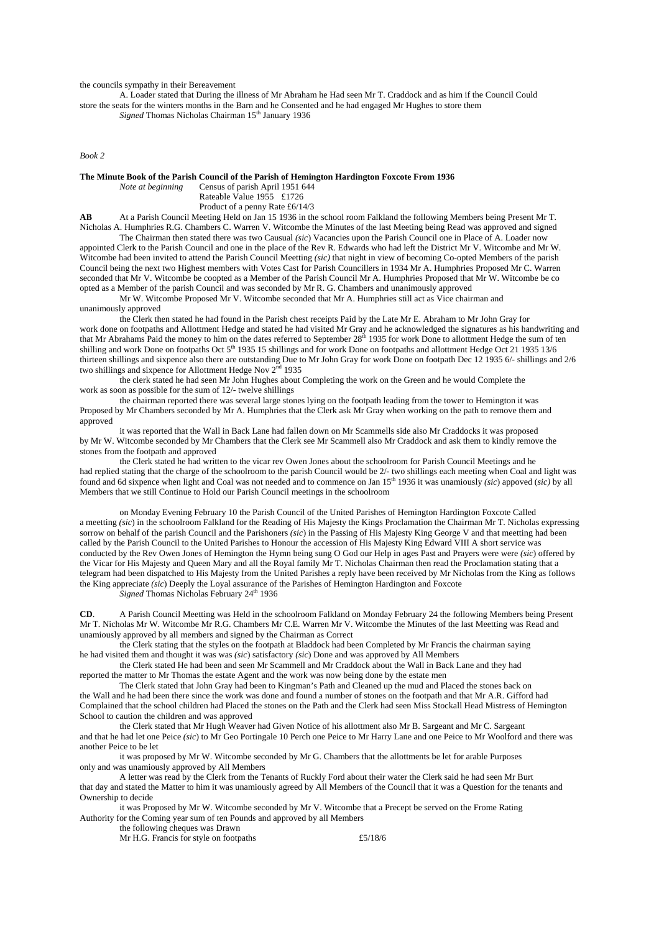the councils sympathy in their Bereavement

A. Loader stated that During the illness of Mr Abraham he Had seen Mr T. Craddock and as him if the Council Could store the seats for the winters months in the Barn and he Consented and he had engaged Mr Hughes to store them

Signed Thomas Nicholas Chairman 15<sup>th</sup> January 1936

*Book 2* 

**The Minute Book of the Parish Council of the Parish of Hemington Hardington Foxcote From 1936**<br>*Note at beginning* Census of parish April 1951 644

*Note at beginning* Census of parish April 1951 644

Rateable Value 1955 £1726

Product of a penny Rate £6/14/3

**AB** At a Parish Council Meeting Held on Jan 15 1936 in the school room Falkland the following Members being Present Mr T. Nicholas A. Humphries R.G. Chambers C. Warren V. Witcombe the Minutes of the last Meeting being Read was approved and signed

 The Chairman then stated there was two Causual *(sic*) Vacancies upon the Parish Council one in Place of A. Loader now appointed Clerk to the Parish Council and one in the place of the Rev R. Edwards who had left the District Mr V. Witcombe and Mr W. Witcombe had been invited to attend the Parish Council Meetting *(sic)* that night in view of becoming Co-opted Members of the parish Council being the next two Highest members with Votes Cast for Parish Councillers in 1934 Mr A. Humphries Proposed Mr C. Warren seconded that Mr V. Witcombe be coopted as a Member of the Parish Council Mr A. Humphries Proposed that Mr W. Witcombe be co opted as a Member of the parish Council and was seconded by Mr R. G. Chambers and unanimously approved

Mr W. Witcombe Proposed Mr V. Witcombe seconded that Mr A. Humphries still act as Vice chairman and unanimously approved

the Clerk then stated he had found in the Parish chest receipts Paid by the Late Mr E. Abraham to Mr John Gray for work done on footpaths and Allottment Hedge and stated he had visited Mr Gray and he acknowledged the signatures as his handwriting and that Mr Abrahams Paid the money to him on the dates referred to September 28<sup>th</sup> 1935 for work Done to allottment Hedge the sum of ten shilling and work Done on footpaths Oct 5<sup>th</sup> 1935 15 shillings and for work Done on footpaths and allottment Hedge Oct 21 1935 13/6 thirteen shillings and sixpence also there are outstanding Due to Mr John Gray for work Done on footpath Dec 12 1935 6/- shillings and 2/6 two shillings and sixpence for Allottment Hedge Nov  $2<sup>nd</sup>$  1935

the clerk stated he had seen Mr John Hughes about Completing the work on the Green and he would Complete the work as soon as possible for the sum of 12/- twelve shillings

the chairman reported there was several large stones lying on the footpath leading from the tower to Hemington it was Proposed by Mr Chambers seconded by Mr A. Humphries that the Clerk ask Mr Gray when working on the path to remove them and approved

it was reported that the Wall in Back Lane had fallen down on Mr Scammells side also Mr Craddocks it was proposed by Mr W. Witcombe seconded by Mr Chambers that the Clerk see Mr Scammell also Mr Craddock and ask them to kindly remove the stones from the footpath and approved

the Clerk stated he had written to the vicar rev Owen Jones about the schoolroom for Parish Council Meetings and he had replied stating that the charge of the schoolroom to the parish Council would be 2/- two shillings each meeting when Coal and light was found and 6d sixpence when light and Coal was not needed and to commence on Jan 15th 1936 it was unamiously *(sic*) appoved (*sic)* by all Members that we still Continue to Hold our Parish Council meetings in the schoolroom

on Monday Evening February 10 the Parish Council of the United Parishes of Hemington Hardington Foxcote Called a meetting *(sic*) in the schoolroom Falkland for the Reading of His Majesty the Kings Proclamation the Chairman Mr T. Nicholas expressing sorrow on behalf of the parish Council and the Parishoners *(sic*) in the Passing of His Majesty King George V and that meetting had been called by the Parish Council to the United Parishes to Honour the accession of His Majesty King Edward VIII A short service was conducted by the Rev Owen Jones of Hemington the Hymn being sung O God our Help in ages Past and Prayers were were *(sic*) offered by the Vicar for His Majesty and Queen Mary and all the Royal family Mr T. Nicholas Chairman then read the Proclamation stating that a telegram had been dispatched to His Majesty from the United Parishes a reply have been received by Mr Nicholas from the King as follows the King appreciate *(sic*) Deeply the Loyal assurance of the Parishes of Hemington Hardington and Foxcote

*Signed* Thomas Nicholas February 24<sup>th</sup> 1936

**CD**. A Parish Council Meetting was Held in the schoolroom Falkland on Monday February 24 the following Members being Present Mr T. Nicholas Mr W. Witcombe Mr R.G. Chambers Mr C.E. Warren Mr V. Witcombe the Minutes of the last Meetting was Read and unamiously approved by all members and signed by the Chairman as Correct

the Clerk stating that the styles on the footpath at Bladdock had been Completed by Mr Francis the chairman saying he had visited them and thought it was was *(sic*) satisfactory *(sic*) Done and was approved by All Members

the Clerk stated He had been and seen Mr Scammell and Mr Craddock about the Wall in Back Lane and they had reported the matter to Mr Thomas the estate Agent and the work was now being done by the estate men

The Clerk stated that John Gray had been to Kingman's Path and Cleaned up the mud and Placed the stones back on the Wall and he had been there since the work was done and found a number of stones on the footpath and that Mr A.R. Gifford had Complained that the school children had Placed the stones on the Path and the Clerk had seen Miss Stockall Head Mistress of Hemington School to caution the children and was approved

the Clerk stated that Mr Hugh Weaver had Given Notice of his allottment also Mr B. Sargeant and Mr C. Sargeant and that he had let one Peice *(sic*) to Mr Geo Portingale 10 Perch one Peice to Mr Harry Lane and one Peice to Mr Woolford and there was another Peice to be let

it was proposed by Mr W. Witcombe seconded by Mr G. Chambers that the allottments be let for arable Purposes only and was unamiously approved by All Members

A letter was read by the Clerk from the Tenants of Ruckly Ford about their water the Clerk said he had seen Mr Burt that day and stated the Matter to him it was unamiously agreed by All Members of the Council that it was a Question for the tenants and Ownership to decide

it was Proposed by Mr W. Witcombe seconded by Mr V. Witcombe that a Precept be served on the Frome Rating Authority for the Coming year sum of ten Pounds and approved by all Members

the following cheques was Drawn

Mr H.G. Francis for style on footpaths  $£5/18/6$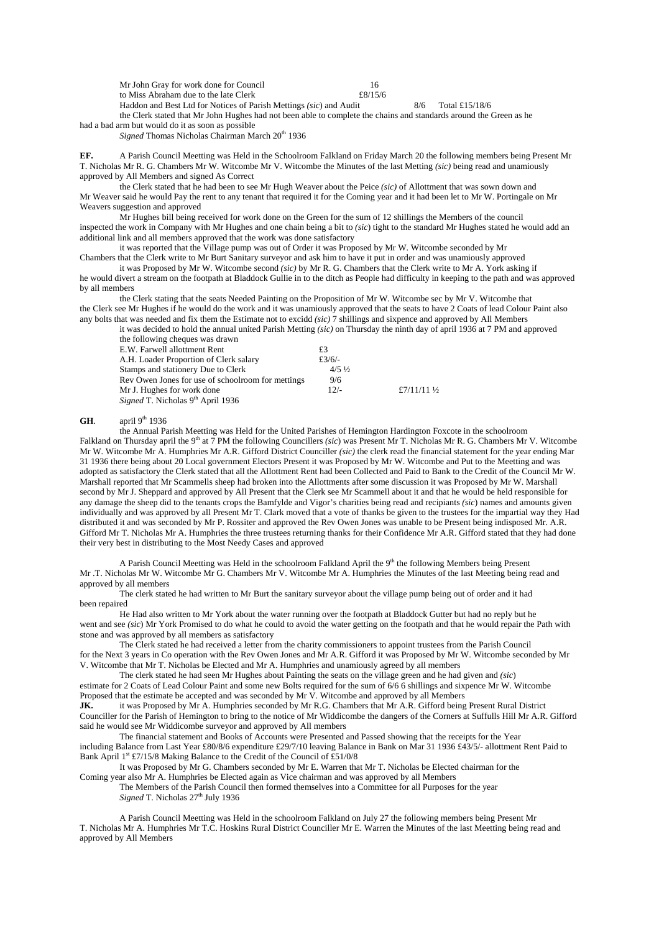| Mr John Gray for work done for Council                             |         |     |
|--------------------------------------------------------------------|---------|-----|
| to Miss Abraham due to the late Clerk                              | £8/15/6 |     |
| Haddon and Best Ltd for Notices of Parish Mettings (sic) and Audit |         | 8/6 |

the Clerk stated that Mr John Hughes had not been able to complete the chains and standards around the Green as he had a bad arm but would do it as soon as possible

*Signed* Thomas Nicholas Chairman March 20<sup>th</sup> 1936

**EF.** A Parish Council Meetting was Held in the Schoolroom Falkland on Friday March 20 the following members being Present Mr T. Nicholas Mr R. G. Chambers Mr W. Witcombe Mr V. Witcombe the Minutes of the last Metting *(sic)* being read and unamiously approved by All Members and signed As Correct

Haddon and Best Ltd for Notices of Parish Mettings *(sic*) and Audit 8/6 Total £15/18/6

the Clerk stated that he had been to see Mr Hugh Weaver about the Peice *(sic)* of Allottment that was sown down and Mr Weaver said he would Pay the rent to any tenant that required it for the Coming year and it had been let to Mr W. Portingale on Mr Weavers suggestion and approved

Mr Hughes bill being received for work done on the Green for the sum of 12 shillings the Members of the council inspected the work in Company with Mr Hughes and one chain being a bit to *(sic*) tight to the standard Mr Hughes stated he would add an additional link and all members approved that the work was done satisfactory

it was reported that the Village pump was out of Order it was Proposed by Mr W. Witcombe seconded by Mr Chambers that the Clerk write to Mr Burt Sanitary surveyor and ask him to have it put in order and was unamiously approved

it was Proposed by Mr W. Witcombe second *(sic)* by Mr R. G. Chambers that the Clerk write to Mr A. York asking if he would divert a stream on the footpath at Bladdock Gullie in to the ditch as People had difficulty in keeping to the path and was approved by all members

the Clerk stating that the seats Needed Painting on the Proposition of Mr W. Witcombe sec by Mr V. Witcombe that the Clerk see Mr Hughes if he would do the work and it was unamiously approved that the seats to have 2 Coats of lead Colour Paint also any bolts that was needed and fix them the Estimate not to excidd *(sic)* 7 shillings and sixpence and approved by All Members

it was decided to hold the annual united Parish Metting *(sic)* on Thursday the ninth day of april 1936 at 7 PM and approved the following cheques was drawn

| E.W. Farwell allottment Rent                      | £3               |                        |
|---------------------------------------------------|------------------|------------------------|
| A.H. Loader Proportion of Clerk salary            | £3/6/-           |                        |
| Stamps and stationery Due to Clerk                | $4/5\frac{1}{2}$ |                        |
| Rev Owen Jones for use of schoolroom for mettings | 9/6              |                        |
| Mr J. Hughes for work done                        | $12/-$           | £7/11/11 $\frac{1}{2}$ |
| Signed T. Nicholas 9 <sup>th</sup> April 1936     |                  |                        |

## **GH.** april 9<sup>th</sup> 1936

the Annual Parish Meetting was Held for the United Parishes of Hemington Hardington Foxcote in the schoolroom Falkland on Thursday april the 9<sup>th</sup> at  $\overline{7}$  PM the following Councillers *(sic)* was Present Mr T. Nicholas Mr R. G. Chambers Mr V. Witcombe Mr W. Witcombe Mr A. Humphries Mr A.R. Gifford District Counciller *(sic)* the clerk read the financial statement for the year ending Mar 31 1936 there being about 20 Local government Electors Present it was Proposed by Mr W. Witcombe and Put to the Meetting and was adopted as satisfactory the Clerk stated that all the Allottment Rent had been Collected and Paid to Bank to the Credit of the Council Mr W. Marshall reported that Mr Scammells sheep had broken into the Allottments after some discussion it was Proposed by Mr W. Marshall second by Mr J. Sheppard and approved by All Present that the Clerk see Mr Scammell about it and that he would be held responsible for any damage the sheep did to the tenants crops the Bamfylde and Vigor's charities being read and recipiants *(sic*) names and amounts given individually and was approved by all Present Mr T. Clark moved that a vote of thanks be given to the trustees for the impartial way they Had distributed it and was seconded by Mr P. Rossiter and approved the Rev Owen Jones was unable to be Present being indisposed Mr. A.R. Gifford Mr T. Nicholas Mr A. Humphries the three trustees returning thanks for their Confidence Mr A.R. Gifford stated that they had done their very best in distributing to the Most Needy Cases and approved

A Parish Council Meetting was Held in the schoolroom Falkland April the  $9<sup>th</sup>$  the following Members being Present Mr .T. Nicholas Mr W. Witcombe Mr G. Chambers Mr V. Witcombe Mr A. Humphries the Minutes of the last Meeting being read and approved by all members

The clerk stated he had written to Mr Burt the sanitary surveyor about the village pump being out of order and it had been repaired

He Had also written to Mr York about the water running over the footpath at Bladdock Gutter but had no reply but he went and see *(sic*) Mr York Promised to do what he could to avoid the water getting on the footpath and that he would repair the Path with stone and was approved by all members as satisfactory

The Clerk stated he had received a letter from the charity commissioners to appoint trustees from the Parish Council for the Next 3 years in Co operation with the Rev Owen Jones and Mr A.R. Gifford it was Proposed by Mr W. Witcombe seconded by Mr V. Witcombe that Mr T. Nicholas be Elected and Mr A. Humphries and unamiously agreed by all members

The clerk stated he had seen Mr Hughes about Painting the seats on the village green and he had given and *(sic*) estimate for 2 Coats of Lead Colour Paint and some new Bolts required for the sum of 6/6 6 shillings and sixpence Mr W. Witcombe Proposed that the estimate be accepted and was seconded by Mr V. Witcombe and approved by all Members

**JK.** it was Proposed by Mr A. Humphries seconded by Mr R.G. Chambers that Mr A.R. Gifford being Present Rural District Counciller for the Parish of Hemington to bring to the notice of Mr Widdicombe the dangers of the Corners at Suffulls Hill Mr A.R. Gifford said he would see Mr Widdicombe surveyor and approved by All members

The financial statement and Books of Accounts were Presented and Passed showing that the receipts for the Year including Balance from Last Year £80/8/6 expenditure £29/7/10 leaving Balance in Bank on Mar 31 1936 £43/5/- allottment Rent Paid to Bank April  $1^{st}$  £7/15/8 Making Balance to the Credit of the Council of £51/0/8

It was Proposed by Mr G. Chambers seconded by Mr E. Warren that Mr T. Nicholas be Elected chairman for the Coming year also Mr A. Humphries be Elected again as Vice chairman and was approved by all Members

The Members of the Parish Council then formed themselves into a Committee for all Purposes for the year *Signed* T. Nicholas 27<sup>th</sup> July 1936

A Parish Council Meetting was Held in the schoolroom Falkland on July 27 the following members being Present Mr T. Nicholas Mr A. Humphries Mr T.C. Hoskins Rural District Counciller Mr E. Warren the Minutes of the last Meetting being read and approved by All Members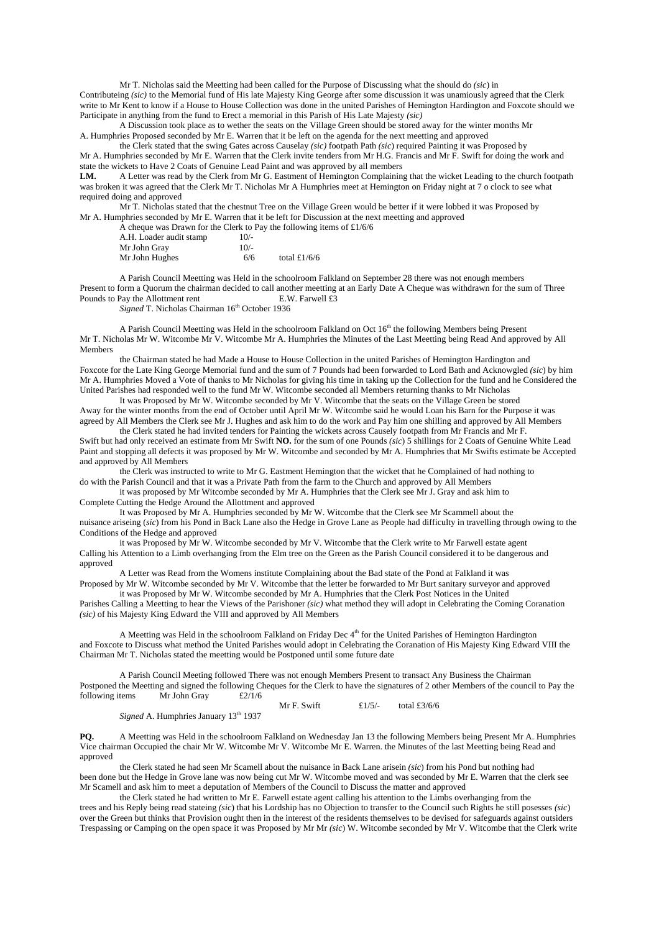Mr T. Nicholas said the Meetting had been called for the Purpose of Discussing what the should do *(sic*) in Contributeing *(sic)* to the Memorial fund of His late Majesty King George after some discussion it was unamiously agreed that the Clerk write to Mr Kent to know if a House to House Collection was done in the united Parishes of Hemington Hardington and Foxcote should we Participate in anything from the fund to Erect a memorial in this Parish of His Late Majesty *(sic)*

A Discussion took place as to wether the seats on the Village Green should be stored away for the winter months Mr A. Humphries Proposed seconded by Mr E. Warren that it be left on the agenda for the next meetting and approved

the Clerk stated that the swing Gates across Causelay *(sic)* footpath Path *(sic*) required Painting it was Proposed by Mr A. Humphries seconded by Mr E. Warren that the Clerk invite tenders from Mr H.G. Francis and Mr F. Swift for doing the work and state the wickets to Have 2 Coats of Genuine Lead Paint and was approved by all members

**LM.** A Letter was read by the Clerk from Mr G. Eastment of Hemington Complaining that the wicket Leading to the church footpath was broken it was agreed that the Clerk Mr T. Nicholas Mr A Humphries meet at Hemington on Friday night at 7 o clock to see what required doing and approved

Mr T. Nicholas stated that the chestnut Tree on the Village Green would be better if it were lobbed it was Proposed by Mr A. Humphries seconded by Mr E. Warren that it be left for Discussion at the next meetting and approved tems of  $f$ 1/6/6

| A cheque was Drawn for the Clerk to Pay the following i |        |                |
|---------------------------------------------------------|--------|----------------|
| A.H. Loader audit stamp                                 | $10/-$ |                |
| Mr John Gray                                            | $10/-$ |                |
| Mr John Hughes                                          | 6/6    | total $£1/6/6$ |

A Parish Council Meetting was Held in the schoolroom Falkland on September 28 there was not enough members Present to form a Quorum the chairman decided to call another meetting at an Early Date A Cheque was withdrawn for the sum of Three<br>
E.W. Farwell £3 Pounds to Pay the Allottment rent

Signed T. Nicholas Chairman 16<sup>th</sup> October 1936

A Parish Council Meetting was Held in the schoolroom Falkland on Oct  $16<sup>th</sup>$  the following Members being Present Mr T. Nicholas Mr W. Witcombe Mr V. Witcombe Mr A. Humphries the Minutes of the Last Meetting being Read And approved by All Members

the Chairman stated he had Made a House to House Collection in the united Parishes of Hemington Hardington and Foxcote for the Late King George Memorial fund and the sum of 7 Pounds had been forwarded to Lord Bath and Acknowgled *(sic*) by him Mr A. Humphries Moved a Vote of thanks to Mr Nicholas for giving his time in taking up the Collection for the fund and he Considered the United Parishes had responded well to the fund Mr W. Witcombe seconded all Members returning thanks to Mr Nicholas

It was Proposed by Mr W. Witcombe seconded by Mr V. Witcombe that the seats on the Village Green be stored Away for the winter months from the end of October until April Mr W. Witcombe said he would Loan his Barn for the Purpose it was agreed by All Members the Clerk see Mr J. Hughes and ask him to do the work and Pay him one shilling and approved by All Members

the Clerk stated he had invited tenders for Painting the wickets across Causely footpath from Mr Francis and Mr F. Swift but had only received an estimate from Mr Swift **NO.** for the sum of one Pounds *(sic*) 5 shillings for 2 Coats of Genuine White Lead Paint and stopping all defects it was proposed by Mr W. Witcombe and seconded by Mr A. Humphries that Mr Swifts estimate be Accepted and approved by All Members

the Clerk was instructed to write to Mr G. Eastment Hemington that the wicket that he Complained of had nothing to do with the Parish Council and that it was a Private Path from the farm to the Church and approved by All Members

it was proposed by Mr Witcombe seconded by Mr A. Humphries that the Clerk see Mr J. Gray and ask him to Complete Cutting the Hedge Around the Allottment and approved

It was Proposed by Mr A. Humphries seconded by Mr W. Witcombe that the Clerk see Mr Scammell about the nuisance ariseing (*sic*) from his Pond in Back Lane also the Hedge in Grove Lane as People had difficulty in travelling through owing to the Conditions of the Hedge and approved

it was Proposed by Mr W. Witcombe seconded by Mr V. Witcombe that the Clerk write to Mr Farwell estate agent Calling his Attention to a Limb overhanging from the Elm tree on the Green as the Parish Council considered it to be dangerous and approved

A Letter was Read from the Womens institute Complaining about the Bad state of the Pond at Falkland it was Proposed by Mr W. Witcombe seconded by Mr V. Witcombe that the letter be forwarded to Mr Burt sanitary surveyor and approved

it was Proposed by Mr W. Witcombe seconded by Mr A. Humphries that the Clerk Post Notices in the United Parishes Calling a Meetting to hear the Views of the Parishoner *(sic)* what method they will adopt in Celebrating the Coming Coranation *(sic)* of his Majesty King Edward the VIII and approved by All Members

A Meetting was Held in the schoolroom Falkland on Friday Dec 4<sup>th</sup> for the United Parishes of Hemington Hardington and Foxcote to Discuss what method the United Parishes would adopt in Celebrating the Coranation of His Majesty King Edward VIII the Chairman Mr T. Nicholas stated the meetting would be Postponed until some future date

A Parish Council Meeting followed There was not enough Members Present to transact Any Business the Chairman Postponed the Meetting and signed the following Cheques for the Clerk to have the signatures of 2 other Members of the council to Pay the following items Mr John Gray  $\text{f2}/1/6$ following items Mr John Gray  $£2/1/6$ 

Mr F. Swift  $\text{£}1/5/-$  total £3/6/6 *Signed* A. Humphries January 13<sup>th</sup> 1937

**PQ.** A Meetting was Held in the schoolroom Falkland on Wednesday Jan 13 the following Members being Present Mr A. Humphries Vice chairman Occupied the chair Mr W. Witcombe Mr V. Witcombe Mr E. Warren. the Minutes of the last Meetting being Read and approved

the Clerk stated he had seen Mr Scamell about the nuisance in Back Lane arisein *(sic*) from his Pond but nothing had been done but the Hedge in Grove lane was now being cut Mr W. Witcombe moved and was seconded by Mr E. Warren that the clerk see Mr Scamell and ask him to meet a deputation of Members of the Council to Discuss the matter and approved

the Clerk stated he had written to Mr E. Farwell estate agent calling his attention to the Limbs overhanging from the trees and his Reply being read stateing *(sic*) that his Lordship has no Objection to transfer to the Council such Rights he still posesses *(sic*) over the Green but thinks that Provision ought then in the interest of the residents themselves to be devised for safeguards against outsiders Trespassing or Camping on the open space it was Proposed by Mr Mr *(sic*) W. Witcombe seconded by Mr V. Witcombe that the Clerk write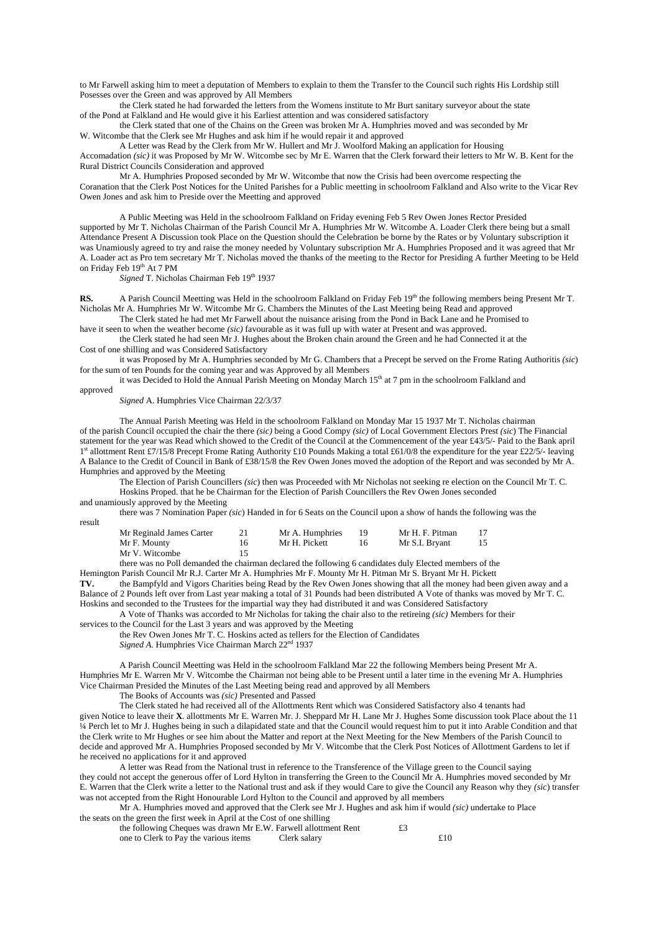to Mr Farwell asking him to meet a deputation of Members to explain to them the Transfer to the Council such rights His Lordship still Posesses over the Green and was approved by All Members

the Clerk stated he had forwarded the letters from the Womens institute to Mr Burt sanitary surveyor about the state of the Pond at Falkland and He would give it his Earliest attention and was considered satisfactory

the Clerk stated that one of the Chains on the Green was broken Mr A. Humphries moved and was seconded by Mr W. Witcombe that the Clerk see Mr Hughes and ask him if he would repair it and approved

A Letter was Read by the Clerk from Mr W. Hullert and Mr J. Woolford Making an application for Housing Accomadation *(sic)* it was Proposed by Mr W. Witcombe sec by Mr E. Warren that the Clerk forward their letters to Mr W. B. Kent for the Rural District Councils Consideration and approved

Mr A. Humphries Proposed seconded by Mr W. Witcombe that now the Crisis had been overcome respecting the Coranation that the Clerk Post Notices for the United Parishes for a Public meetting in schoolroom Falkland and Also write to the Vicar Rev Owen Jones and ask him to Preside over the Meetting and approved

A Public Meeting was Held in the schoolroom Falkland on Friday evening Feb 5 Rev Owen Jones Rector Presided supported by Mr T. Nicholas Chairman of the Parish Council Mr A. Humphries Mr W. Witcombe A. Loader Clerk there being but a small Attendance Present A Discussion took Place on the Question should the Celebration be borne by the Rates or by Voluntary subscription it was Unamiously agreed to try and raise the money needed by Voluntary subscription Mr A. Humphries Proposed and it was agreed that Mr A. Loader act as Pro tem secretary Mr T. Nicholas moved the thanks of the meeting to the Rector for Presiding A further Meeting to be Held on Friday Feb 19th At 7 PM

*Signed* T. Nicholas Chairman Feb 19th 1937

**RS.** A Parish Council Meetting was Held in the schoolroom Falkland on Friday Feb 19<sup>th</sup> the following members being Present Mr T. Nicholas Mr A. Humphries Mr W. Witcombe Mr G. Chambers the Minutes of the Last Meeting being Read and approved

The Clerk stated he had met Mr Farwell about the nuisance arising from the Pond in Back Lane and he Promised to

have it seen to when the weather become *(sic)* favourable as it was full up with water at Present and was approved. the Clerk stated he had seen Mr J. Hughes about the Broken chain around the Green and he had Connected it at the Cost of one shilling and was Considered Satisfactory

it was Proposed by Mr A. Humphries seconded by Mr G. Chambers that a Precept be served on the Frome Rating Authoritis *(sic*) for the sum of ten Pounds for the coming year and was Approved by all Members

it was Decided to Hold the Annual Parish Meeting on Monday March 15<sup>th</sup> at 7 pm in the schoolroom Falkland and

approved

*Signed* A. Humphries Vice Chairman 22/3/37

The Annual Parish Meeting was Held in the schoolroom Falkland on Monday Mar 15 1937 Mr T. Nicholas chairman of the parish Council occupied the chair the there *(sic)* being a Good Compy *(sic)* of Local Government Electors Prest *(sic*) The Financial statement for the year was Read which showed to the Credit of the Council at the Commencement of the year £43/5/- Paid to the Bank april 1st allottment Rent £7/15/8 Precept Frome Rating Authority £10 Pounds Making a total £61/0/8 the expenditure for the year £22/5/- leaving A Balance to the Credit of Council in Bank of £38/15/8 the Rev Owen Jones moved the adoption of the Report and was seconded by Mr A. Humphries and approved by the Meeting

The Election of Parish Councillers *(sic*) then was Proceeded with Mr Nicholas not seeking re election on the Council Mr T. C. Hoskins Proped. that he be Chairman for the Election of Parish Councillers the Rev Owen Jones seconded

and unamiously approved by the Meeting

there was 7 Nomination Paper *(sic*) Handed in for 6 Seats on the Council upon a show of hands the following was the result

| Mr Reginald James Carter | Mr A. Humphries | Mr H. F. Pitman |    |
|--------------------------|-----------------|-----------------|----|
| Mr F. Mounty             | Mr H. Pickett   | Mr S.I. Bryant  | 15 |
| Mr V. Witcombe           |                 |                 |    |

there was no Poll demanded the chairman declared the following 6 candidates duly Elected members of the

Hemington Parish Council Mr R.J. Carter Mr A. Humphries Mr F. Mounty Mr H. Pitman Mr S. Bryant Mr H. Pickett **TV.** the Bampfyld and Vigors Charities being Read by the Rev Owen Jones showing that all the money had been given away and a Balance of 2 Pounds left over from Last year making a total of 31 Pounds had been distributed A Vote of thanks was moved by Mr T. C. Hoskins and seconded to the Trustees for the impartial way they had distributed it and was Considered Satisfactory

A Vote of Thanks was accorded to Mr Nicholas for taking the chair also to the retireing *(sic)* Members for their services to the Council for the Last 3 years and was approved by the Meeting

the Rev Owen Jones Mr T. C. Hoskins acted as tellers for the Election of Candidates

Signed A. Humphries Vice Chairman March 22<sup>nd</sup> 1937

A Parish Council Meetting was Held in the schoolroom Falkland Mar 22 the following Members being Present Mr A. Humphries Mr E. Warren Mr V. Witcombe the Chairman not being able to be Present until a later time in the evening Mr A. Humphries Vice Chairman Presided the Minutes of the Last Meeting being read and approved by all Members

The Books of Accounts was *(sic)* Presented and Passed

The Clerk stated he had received all of the Allottments Rent which was Considered Satisfactory also 4 tenants had given Notice to leave their **X**. allottments Mr E. Warren Mr. J. Sheppard Mr H. Lane Mr J. Hughes Some discussion took Place about the 11 ¼ Perch let to Mr J. Hughes being in such a dilapidated state and that the Council would request him to put it into Arable Condition and that the Clerk write to Mr Hughes or see him about the Matter and report at the Next Meeting for the New Members of the Parish Council to decide and approved Mr A. Humphries Proposed seconded by Mr V. Witcombe that the Clerk Post Notices of Allottment Gardens to let if he received no applications for it and approved

A letter was Read from the National trust in reference to the Transference of the Village green to the Council saying they could not accept the generous offer of Lord Hylton in transferring the Green to the Council Mr A. Humphries moved seconded by Mr E. Warren that the Clerk write a letter to the National trust and ask if they would Care to give the Council any Reason why they *(sic*) transfer was not accepted from the Right Honourable Lord Hylton to the Council and approved by all members

Mr A. Humphries moved and approved that the Clerk see Mr J. Hughes and ask him if would *(sic)* undertake to Place the seats on the green the first week in April at the Cost of one shilling

| the following Cheques was drawn Mr E.W. Farwell allottment Rent |              | £3  |
|-----------------------------------------------------------------|--------------|-----|
| one to Clerk to Pay the various items                           | Clerk salary | £10 |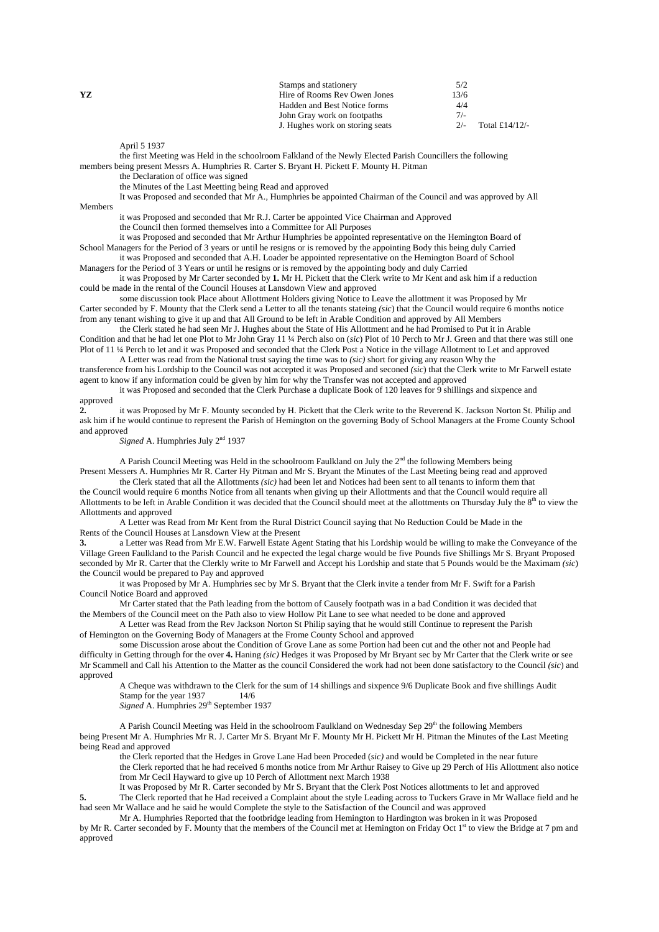|    | Stamps and stationery           | 5/2   |                |
|----|---------------------------------|-------|----------------|
| YZ | Hire of Rooms Rev Owen Jones    | 13/6  |                |
|    | Hadden and Best Notice forms    | 4/4   |                |
|    | John Gray work on footpaths     | $7/-$ |                |
|    | J. Hughes work on storing seats | $2/-$ | Total £14/12/- |
|    |                                 |       |                |

April 5 1937

the first Meeting was Held in the schoolroom Falkland of the Newly Elected Parish Councillers the following members being present Messrs A. Humphries R. Carter S. Bryant H. Pickett F. Mounty H. Pitman

the Declaration of office was signed

the Minutes of the Last Meetting being Read and approved

It was Proposed and seconded that Mr A., Humphries be appointed Chairman of the Council and was approved by All Members

it was Proposed and seconded that Mr R.J. Carter be appointed Vice Chairman and Approved the Council then formed themselves into a Committee for All Purposes

it was Proposed and seconded that Mr Arthur Humphries be appointed representative on the Hemington Board of School Managers for the Period of 3 years or until he resigns or is removed by the appointing Body this being duly Carried it was Proposed and seconded that A.H. Loader be appointed representative on the Hemington Board of School

Managers for the Period of 3 Years or until he resigns or is removed by the appointing body and duly Carried

it was Proposed by Mr Carter seconded by **1.** Mr H. Pickett that the Clerk write to Mr Kent and ask him if a reduction could be made in the rental of the Council Houses at Lansdown View and approved

some discussion took Place about Allottment Holders giving Notice to Leave the allottment it was Proposed by Mr Carter seconded by F. Mounty that the Clerk send a Letter to all the tenants stateing *(sic*) that the Council would require 6 months notice from any tenant wishing to give it up and that All Ground to be left in Arable Condition and approved by All Members

the Clerk stated he had seen Mr J. Hughes about the State of His Allottment and he had Promised to Put it in Arable Condition and that he had let one Plot to Mr John Gray 11 ¼ Perch also on (*sic*) Plot of 10 Perch to Mr J. Green and that there was still one Plot of 11 ¼ Perch to let and it was Proposed and seconded that the Clerk Post a Notice in the village Allotment to Let and approved

A Letter was read from the National trust saying the time was to *(sic)* short for giving any reason Why the transference from his Lordship to the Council was not accepted it was Proposed and seconed *(sic*) that the Clerk write to Mr Farwell estate agent to know if any information could be given by him for why the Transfer was not accepted and approved

it was Proposed and seconded that the Clerk Purchase a duplicate Book of 120 leaves for 9 shillings and sixpence and approved

**2.** it was Proposed by Mr F. Mounty seconded by H. Pickett that the Clerk write to the Reverend K. Jackson Norton St. Philip and ask him if he would continue to represent the Parish of Hemington on the governing Body of School Managers at the Frome County School and approved

Signed A. Humphries July 2<sup>nd</sup> 1937

A Parish Council Meeting was Held in the schoolroom Faulkland on July the 2<sup>nd</sup> the following Members being Present Messers A. Humphries Mr R. Carter Hy Pitman and Mr S. Bryant the Minutes of the Last Meeting being read and approved the Clerk stated that all the Allottments *(sic)* had been let and Notices had been sent to all tenants to inform them that

the Council would require 6 months Notice from all tenants when giving up their Allottments and that the Council would require all Allottments to be left in Arable Condition it was decided that the Council should meet at the allottments on Thursday July the 8<sup>th</sup> to view the Allottments and approved

A Letter was Read from Mr Kent from the Rural District Council saying that No Reduction Could be Made in the Rents of the Council Houses at Lansdown View at the Present

**3.** a Letter was Read from Mr E.W. Farwell Estate Agent Stating that his Lordship would be willing to make the Conveyance of the Village Green Faulkland to the Parish Council and he expected the legal charge would be five Pounds five Shillings Mr S. Bryant Proposed seconded by Mr R. Carter that the Clerkly write to Mr Farwell and Accept his Lordship and state that 5 Pounds would be the Maximam *(sic*) the Council would be prepared to Pay and approved

it was Proposed by Mr A. Humphries sec by Mr S. Bryant that the Clerk invite a tender from Mr F. Swift for a Parish Council Notice Board and approved

Mr Carter stated that the Path leading from the bottom of Causely footpath was in a bad Condition it was decided that the Members of the Council meet on the Path also to view Hollow Pit Lane to see what needed to be done and approved

A Letter was Read from the Rev Jackson Norton St Philip saying that he would still Continue to represent the Parish of Hemington on the Governing Body of Managers at the Frome County School and approved

some Discussion arose about the Condition of Grove Lane as some Portion had been cut and the other not and People had difficulty in Getting through for the over **4.** Haning *(sic)* Hedges it was Proposed by Mr Bryant sec by Mr Carter that the Clerk write or see Mr Scammell and Call his Attention to the Matter as the council Considered the work had not been done satisfactory to the Council *(sic*) and approved

A Cheque was withdrawn to the Clerk for the sum of 14 shillings and sixpence 9/6 Duplicate Book and five shillings Audit Stamp for the year 1937 14/6

*Signed* A. Humphries 29<sup>th</sup> September 1937

A Parish Council Meeting was Held in the schoolroom Faulkland on Wednesday Sep 29<sup>th</sup> the following Members being Present Mr A. Humphries Mr R. J. Carter Mr S. Bryant Mr F. Mounty Mr H. Pickett Mr H. Pitman the Minutes of the Last Meeting being Read and approved

the Clerk reported that the Hedges in Grove Lane Had been Proceded (*sic)* and would be Completed in the near future the Clerk reported that he had received 6 months notice from Mr Arthur Raisey to Give up 29 Perch of His Allottment also notice from Mr Cecil Hayward to give up 10 Perch of Allottment next March 1938

It was Proposed by Mr R. Carter seconded by Mr S. Bryant that the Clerk Post Notices allottments to let and approved

**5.** The Clerk reported that he Had received a Complaint about the style Leading across to Tuckers Grave in Mr Wallace field and he had seen Mr Wallace and he said he would Complete the style to the Satisfaction of the Council and was approved

Mr A. Humphries Reported that the footbridge leading from Hemington to Hardington was broken in it was Proposed by Mr R. Carter seconded by F. Mounty that the members of the Council met at Hemington on Friday Oct 1st to view the Bridge at 7 pm and approved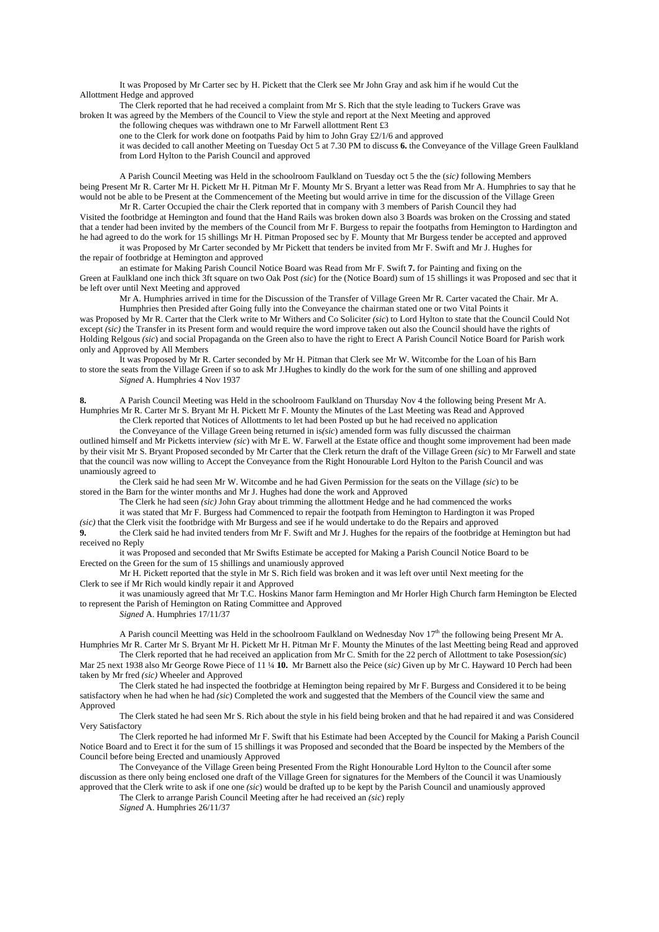It was Proposed by Mr Carter sec by H. Pickett that the Clerk see Mr John Gray and ask him if he would Cut the Allottment Hedge and approved

The Clerk reported that he had received a complaint from Mr S. Rich that the style leading to Tuckers Grave was broken It was agreed by the Members of the Council to View the style and report at the Next Meeting and approved

the following cheques was withdrawn one to Mr Farwell allottment Rent £3

one to the Clerk for work done on footpaths Paid by him to John Gray £2/1/6 and approved

it was decided to call another Meeting on Tuesday Oct 5 at 7.30 PM to discuss **6.** the Conveyance of the Village Green Faulkland from Lord Hylton to the Parish Council and approved

A Parish Council Meeting was Held in the schoolroom Faulkland on Tuesday oct 5 the the (*sic)* following Members being Present Mr R. Carter Mr H. Pickett Mr H. Pitman Mr F. Mounty Mr S. Bryant a letter was Read from Mr A. Humphries to say that he would not be able to be Present at the Commencement of the Meeting but would arrive in time for the discussion of the Village Green

Mr R. Carter Occupied the chair the Clerk reported that in company with 3 members of Parish Council they had Visited the footbridge at Hemington and found that the Hand Rails was broken down also 3 Boards was broken on the Crossing and stated that a tender had been invited by the members of the Council from Mr F. Burgess to repair the footpaths from Hemington to Hardington and he had agreed to do the work for 15 shillings Mr H. Pitman Proposed sec by F. Mounty that Mr Burgess tender be accepted and approved

it was Proposed by Mr Carter seconded by Mr Pickett that tenders be invited from Mr F. Swift and Mr J. Hughes for the repair of footbridge at Hemington and approved

an estimate for Making Parish Council Notice Board was Read from Mr F. Swift **7.** for Painting and fixing on the Green at Faulkland one inch thick 3ft square on two Oak Post *(sic*) for the (Notice Board) sum of 15 shillings it was Proposed and sec that it be left over until Next Meeting and approved

Mr A. Humphries arrived in time for the Discussion of the Transfer of Village Green Mr R. Carter vacated the Chair. Mr A. Humphries then Presided after Going fully into the Conveyance the chairman stated one or two Vital Points it

was Proposed by Mr R. Carter that the Clerk write to Mr Withers and Co Soliciter *(sic*) to Lord Hylton to state that the Council Could Not except *(sic)* the Transfer in its Present form and would require the word improve taken out also the Council should have the rights of Holding Relgous *(sic*) and social Propaganda on the Green also to have the right to Erect A Parish Council Notice Board for Parish work only and Approved by All Members

It was Proposed by Mr R. Carter seconded by Mr H. Pitman that Clerk see Mr W. Witcombe for the Loan of his Barn to store the seats from the Village Green if so to ask Mr J.Hughes to kindly do the work for the sum of one shilling and approved *Signed* A. Humphries 4 Nov 1937

**8.** A Parish Council Meeting was Held in the schoolroom Faulkland on Thursday Nov 4 the following being Present Mr A. Humphries Mr R. Carter Mr S. Bryant Mr H. Pickett Mr F. Mounty the Minutes of the Last Meeting was Read and Approved

the Clerk reported that Notices of Allottments to let had been Posted up but he had received no application the Conveyance of the Village Green being returned in is*(sic*) amended form was fully discussed the chairman

outlined himself and Mr Picketts interview *(sic*) with Mr E. W. Farwell at the Estate office and thought some improvement had been made by their visit Mr S. Bryant Proposed seconded by Mr Carter that the Clerk return the draft of the Village Green *(sic*) to Mr Farwell and state that the council was now willing to Accept the Conveyance from the Right Honourable Lord Hylton to the Parish Council and was unamiously agreed to

the Clerk said he had seen Mr W. Witcombe and he had Given Permission for the seats on the Village *(sic*) to be stored in the Barn for the winter months and Mr J. Hughes had done the work and Approved

The Clerk he had seen *(sic)* John Gray about trimming the allottment Hedge and he had commenced the works it was stated that Mr F. Burgess had Commenced to repair the footpath from Hemington to Hardington it was Proped

*(sic)* that the Clerk visit the footbridge with Mr Burgess and see if he would undertake to do the Repairs and approved

**9.** the Clerk said he had invited tenders from Mr F. Swift and Mr J. Hughes for the repairs of the footbridge at Hemington but had received no Reply

it was Proposed and seconded that Mr Swifts Estimate be accepted for Making a Parish Council Notice Board to be Erected on the Green for the sum of 15 shillings and unamiously approved

Mr H. Pickett reported that the style in Mr S. Rich field was broken and it was left over until Next meeting for the Clerk to see if Mr Rich would kindly repair it and Approved

it was unamiously agreed that Mr T.C. Hoskins Manor farm Hemington and Mr Horler High Church farm Hemington be Elected to represent the Parish of Hemington on Rating Committee and Approved

*Signed* A. Humphries 17/11/37

A Parish council Meetting was Held in the schoolroom Faulkland on Wednesday Nov  $17<sup>th</sup>$  the following being Present Mr A. Humphries Mr R. Carter Mr S. Bryant Mr H. Pickett Mr H. Pitman Mr F. Mounty the Minutes of the last Meetting being Read and approved The Clerk reported that he had received an application from Mr C. Smith for the 22 perch of Allottment to take Posession*(sic*)

Mar 25 next 1938 also Mr George Rowe Piece of 11 ¼ **10.** Mr Barnett also the Peice (*sic)* Given up by Mr C. Hayward 10 Perch had been taken by Mr fred *(sic)* Wheeler and Approved

The Clerk stated he had inspected the footbridge at Hemington being repaired by Mr F. Burgess and Considered it to be being satisfactory when he had when he had *(sic*) Completed the work and suggested that the Members of the Council view the same and Approved

The Clerk stated he had seen Mr S. Rich about the style in his field being broken and that he had repaired it and was Considered Very Satisfactory

The Clerk reported he had informed Mr F. Swift that his Estimate had been Accepted by the Council for Making a Parish Council Notice Board and to Erect it for the sum of 15 shillings it was Proposed and seconded that the Board be inspected by the Members of the Council before being Erected and unamiously Approved

The Conveyance of the Village Green being Presented From the Right Honourable Lord Hylton to the Council after some discussion as there only being enclosed one draft of the Village Green for signatures for the Members of the Council it was Unamiously approved that the Clerk write to ask if one one *(sic*) would be drafted up to be kept by the Parish Council and unamiously approved

The Clerk to arrange Parish Council Meeting after he had received an *(sic*) reply

*Signed* A. Humphries 26/11/37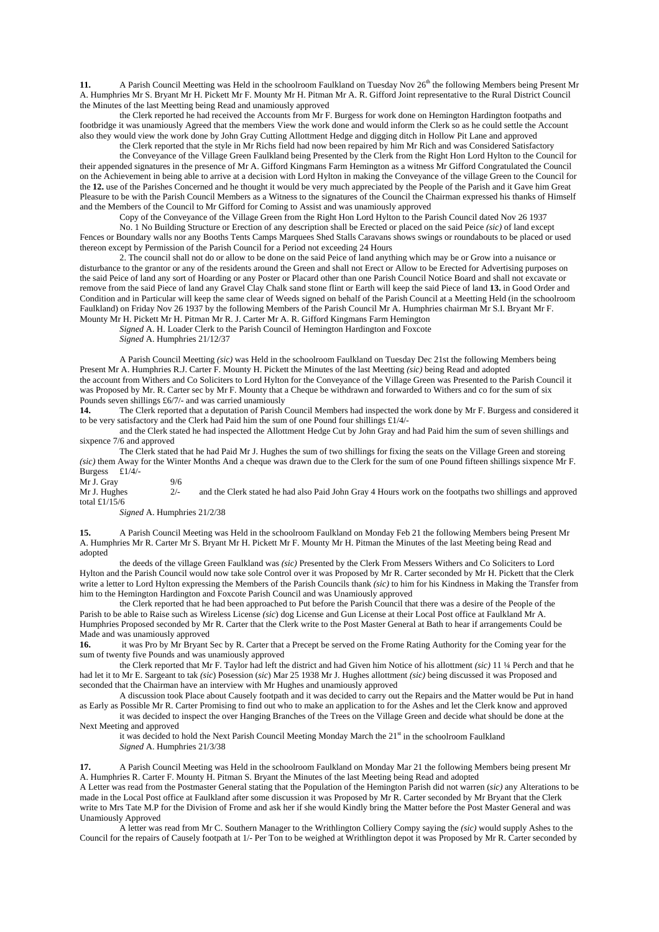11. A Parish Council Meetting was Held in the schoolroom Faulkland on Tuesday Nov 26<sup>th</sup> the following Members being Present Mr A. Humphries Mr S. Bryant Mr H. Pickett Mr F. Mounty Mr H. Pitman Mr A. R. Gifford Joint representative to the Rural District Council the Minutes of the last Meetting being Read and unamiously approved

the Clerk reported he had received the Accounts from Mr F. Burgess for work done on Hemington Hardington footpaths and footbridge it was unamiously Agreed that the members View the work done and would inform the Clerk so as he could settle the Account also they would view the work done by John Gray Cutting Allottment Hedge and digging ditch in Hollow Pit Lane and approved

the Clerk reported that the style in Mr Richs field had now been repaired by him Mr Rich and was Considered Satisfactory the Conveyance of the Village Green Faulkland being Presented by the Clerk from the Right Hon Lord Hylton to the Council for their appended signatures in the presence of Mr A. Gifford Kingmans Farm Hemington as a witness Mr Gifford Congratulated the Council on the Achievement in being able to arrive at a decision with Lord Hylton in making the Conveyance of the village Green to the Council for the **12.** use of the Parishes Concerned and he thought it would be very much appreciated by the People of the Parish and it Gave him Great Pleasure to be with the Parish Council Members as a Witness to the signatures of the Council the Chairman expressed his thanks of Himself and the Members of the Council to Mr Gifford for Coming to Assist and was unamiously approved

Copy of the Conveyance of the Village Green from the Right Hon Lord Hylton to the Parish Council dated Nov 26 1937

No. 1 No Building Structure or Erection of any description shall be Erected or placed on the said Peice *(sic)* of land except Fences or Boundary walls nor any Booths Tents Camps Marquees Shed Stalls Caravans shows swings or roundabouts to be placed or used thereon except by Permission of the Parish Council for a Period not exceeding 24 Hours

2. The council shall not do or allow to be done on the said Peice of land anything which may be or Grow into a nuisance or disturbance to the grantor or any of the residents around the Green and shall not Erect or Allow to be Erected for Advertising purposes on the said Peice of land any sort of Hoarding or any Poster or Placard other than one Parish Council Notice Board and shall not excavate or remove from the said Piece of land any Gravel Clay Chalk sand stone flint or Earth will keep the said Piece of land **13.** in Good Order and Condition and in Particular will keep the same clear of Weeds signed on behalf of the Parish Council at a Meetting Held (in the schoolroom Faulkland) on Friday Nov 26 1937 by the following Members of the Parish Council Mr A. Humphries chairman Mr S.I. Bryant Mr F. Mounty Mr H. Pickett Mr H. Pitman Mr R. J. Carter Mr A. R. Gifford Kingmans Farm Hemington

*Signed* A. H. Loader Clerk to the Parish Council of Hemington Hardington and Foxcote

*Signed* A. Humphries 21/12/37

A Parish Council Meetting *(sic)* was Held in the schoolroom Faulkland on Tuesday Dec 21st the following Members being Present Mr A. Humphries R.J. Carter F. Mounty H. Pickett the Minutes of the last Meetting *(sic)* being Read and adopted the account from Withers and Co Soliciters to Lord Hylton for the Conveyance of the Village Green was Presented to the Parish Council it was Proposed by Mr. R. Carter sec by Mr F. Mounty that a Cheque be withdrawn and forwarded to Withers and co for the sum of six Pounds seven shillings £6/7/- and was carried unamiously<br>14. The Clerk reported that a deputation of Parish 6

**14.** The Clerk reported that a deputation of Parish Council Members had inspected the work done by Mr F. Burgess and considered it to be very satisfactory and the Clerk had Paid him the sum of one Pound four shillings £1/4/-

and the Clerk stated he had inspected the Allottment Hedge Cut by John Gray and had Paid him the sum of seven shillings and sixpence 7/6 and approved

The Clerk stated that he had Paid Mr J. Hughes the sum of two shillings for fixing the seats on the Village Green and storeing *(sic)* them Away for the Winter Months And a cheque was drawn due to the Clerk for the sum of one Pound fifteen shillings sixpence Mr F. Burgess £1/4/-

Mr J. Gray  $9/6$ <br>Mr J. Hughes  $2/1$ and the Clerk stated he had also Paid John Gray 4 Hours work on the footpaths two shillings and approved total £1/15/6

*Signed* A. Humphries 21/2/38

**15.** A Parish Council Meeting was Held in the schoolroom Faulkland on Monday Feb 21 the following Members being Present Mr A. Humphries Mr R. Carter Mr S. Bryant Mr H. Pickett Mr F. Mounty Mr H. Pitman the Minutes of the last Meeting being Read and adopted

the deeds of the village Green Faulkland was *(sic)* Presented by the Clerk From Messers Withers and Co Soliciters to Lord Hylton and the Parish Council would now take sole Control over it was Proposed by Mr R. Carter seconded by Mr H. Pickett that the Clerk write a letter to Lord Hylton expressing the Members of the Parish Councils thank *(sic)* to him for his Kindness in Making the Transfer from him to the Hemington Hardington and Foxcote Parish Council and was Unamiously approved

the Clerk reported that he had been approached to Put before the Parish Council that there was a desire of the People of the Parish to be able to Raise such as Wireless License *(sic*) dog License and Gun License at their Local Post office at Faulkland Mr A. Humphries Proposed seconded by Mr R. Carter that the Clerk write to the Post Master General at Bath to hear if arrangements Could be Made and was unamiously approved

**16.** it was Pro by Mr Bryant Sec by R. Carter that a Precept be served on the Frome Rating Authority for the Coming year for the sum of twenty five Pounds and was unamiously approved

the Clerk reported that Mr F. Taylor had left the district and had Given him Notice of his allottment *(sic)* 11 ¼ Perch and that he had let it to Mr E. Sargeant to tak *(sic*) Posession (*sic*) Mar 25 1938 Mr J. Hughes allottment *(sic)* being discussed it was Proposed and seconded that the Chairman have an interview with Mr Hughes and unamiously approved

A discussion took Place about Causely footpath and it was decided to carry out the Repairs and the Matter would be Put in hand as Early as Possible Mr R. Carter Promising to find out who to make an application to for the Ashes and let the Clerk know and approved

it was decided to inspect the over Hanging Branches of the Trees on the Village Green and decide what should be done at the Next Meeting and approved

it was decided to hold the Next Parish Council Meeting Monday March the 21<sup>st</sup> in the schoolroom Faulkland *Signed* A. Humphries 21/3/38

**17.** A Parish Council Meeting was Held in the schoolroom Faulkland on Monday Mar 21 the following Members being present Mr A. Humphries R. Carter F. Mounty H. Pitman S. Bryant the Minutes of the last Meeting being Read and adopted

A Letter was read from the Postmaster General stating that the Population of the Hemington Parish did not warren (*sic)* any Alterations to be made in the Local Post office at Faulkland after some discussion it was Proposed by Mr R. Carter seconded by Mr Bryant that the Clerk write to Mrs Tate M.P for the Division of Frome and ask her if she would Kindly bring the Matter before the Post Master General and was Unamiously Approved

A letter was read from Mr C. Southern Manager to the Writhlington Colliery Compy saying the *(sic)* would supply Ashes to the Council for the repairs of Causely footpath at 1/- Per Ton to be weighed at Writhlington depot it was Proposed by Mr R. Carter seconded by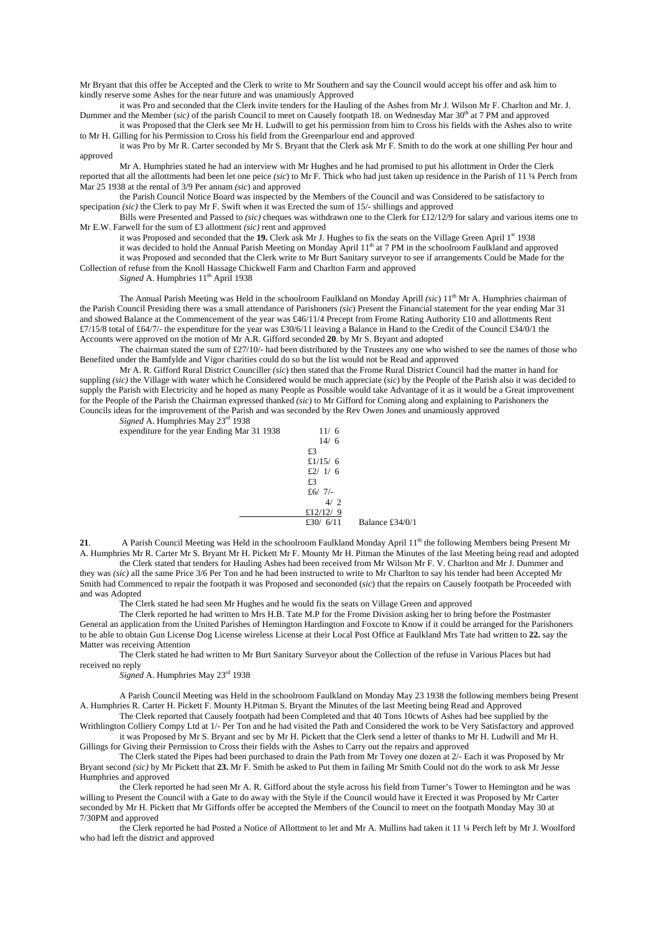Mr Bryant that this offer be Accepted and the Clerk to write to Mr Southern and say the Council would accept his offer and ask him to kindly reserve some Ashes for the near future and was unamiously Approved

it was Pro and seconded that the Clerk invite tenders for the Hauling of the Ashes from Mr J. Wilson Mr F. Charlton and Mr. J. Dummer and the Member (sic) of the parish Council to meet on Causely footpath 18. on Wednesday Mar 30<sup>th</sup> at 7 PM and approved

it was Proposed that the Clerk see Mr H. Ludwill to get his permission from him to Cross his fields with the Ashes also to write to Mr H. Gilling for his Permission to Cross his field from the Greenparlour end and approved

it was Pro by Mr R. Carter seconded by Mr S. Bryant that the Clerk ask Mr F. Smith to do the work at one shilling Per hour and approved

Mr A. Humphries stated he had an interview with Mr Hughes and he had promised to put his allottment in Order the Clerk

reported that all the allottments had been let one peice *(sic*) to Mr F. Thick who had just taken up residence in the Parish of 11 ¼ Perch from Mar 25 1938 at the rental of 3/9 Per annam *(sic*) and approved

the Parish Council Notice Board was inspected by the Members of the Council and was Considered to be satisfactory to specipation *(sic)* the Clerk to pay Mr F. Swift when it was Erected the sum of 15/- shillings and approved

Bills were Presented and Passed to *(sic)* cheques was withdrawn one to the Clerk for £12/12/9 for salary and various items one to Mr E.W. Farwell for the sum of £3 allottment *(sic)* rent and approved

it was Proposed and seconded that the 19. Clerk ask Mr J. Hughes to fix the seats on the Village Green April 1<sup>st</sup> 1938 it was decided to hold the Annual Parish Meeting on Monday April  $11<sup>th</sup>$  at 7 PM in the schoolroom Faulkland and approved it was Proposed and seconded that the Clerk write to Mr Burt Sanitary surveyor to see if arrangements Could be Made for the Collection of refuse from the Knoll Hassage Chickwell Farm and Charlton Farm and approved

*Signed* A. Humphries 11<sup>th</sup> April 1938

The Annual Parish Meeting was Held in the schoolroom Faulkland on Monday Aprill *(sic)*  $11<sup>th</sup>$  Mr A. Humphries chairman of the Parish Council Presiding there was a small attendance of Parishoners *(sic*) Present the Financial statement for the year ending Mar 31 and showed Balance at the Commencement of the year was £46/11/4 Precept from Frome Rating Authority £10 and allottments Rent  $£7/15/8$  total of £64/7/- the expenditure for the year was £30/6/11 leaving a Balance in Hand to the Credit of the Council £34/0/1 the Accounts were approved on the motion of Mr A.R. Gifford seconded **20**. by Mr S. Bryant and adopted

The chairman stated the sum of £27/10/- had been distributed by the Trustees any one who wished to see the names of those who Benefited under the Bamfylde and Vigor charities could do so but the list would not be Read and approved

Mr A. R. Gifford Rural District Counciller *(sic*) then stated that the Frome Rural District Council had the matter in hand for suppling *(sic)* the Village with water which he Considered would be much appreciate (*sic*) by the People of the Parish also it was decided to supply the Parish with Electricity and he hoped as many People as Possible would take Advantage of it as it would be a Great improvement for the People of the Parish the Chairman expressed thanked *(sic*) to Mr Gifford for Coming along and explaining to Parishoners the Councils ideas for the improvement of the Parish and was seconded by the Rev Owen Jones and unamiously approved

*Signed* A. Humphries May 23rd 1938 expenditure for

| expenditure for the year Ending Mar 31 1938 | 11/6        |                 |
|---------------------------------------------|-------------|-----------------|
|                                             | 14/6        |                 |
|                                             | £3          |                 |
|                                             | £ $1/15/6$  |                 |
|                                             | £2/ $1/6$   |                 |
|                                             | £3          |                 |
|                                             | £6/ $7/-$   |                 |
|                                             | 4/2         |                 |
|                                             | £12/12/9    |                 |
|                                             | £30/ $6/11$ | Balance £34/0/1 |

21. A Parish Council Meeting was Held in the schoolroom Faulkland Monday April 11<sup>th</sup> the following Members being Present Mr A. Humphries Mr R. Carter Mr S. Bryant Mr H. Pickett Mr F. Mounty Mr H. Pitman the Minutes of the last Meeting being read and adopted

the Clerk stated that tenders for Hauling Ashes had been received from Mr Wilson Mr F. V. Charlton and Mr J. Dummer and they was *(sic)* all the same Price 3/6 Per Ton and he had been instructed to write to Mr Charlton to say his tender had been Accepted Mr Smith had Commenced to repair the footpath it was Proposed and secononded (*sic*) that the repairs on Causely footpath be Proceeded with and was Adopted

The Clerk stated he had seen Mr Hughes and he would fix the seats on Village Green and approved

The Clerk reported he had written to Mrs H.B. Tate M.P for the Frome Division asking her to bring before the Postmaster General an application from the United Parishes of Hemington Hardington and Foxcote to Know if it could be arranged for the Parishoners to be able to obtain Gun License Dog License wireless License at their Local Post Office at Faulkland Mrs Tate had written to **22.** say the Matter was receiving Attention

The Clerk stated he had written to Mr Burt Sanitary Surveyor about the Collection of the refuse in Various Places but had received no reply

*Signed* A. Humphries May 23rd 1938

A Parish Council Meeting was Held in the schoolroom Faulkland on Monday May 23 1938 the following members being Present A. Humphries R. Carter H. Pickett F. Mounty H.Pitman S. Bryant the Minutes of the last Meeting being Read and Approved

The Clerk reported that Causely footpath had been Completed and that 40 Tons 10cwts of Ashes had bee supplied by the Writhlington Colliery Compy Ltd at 1/- Per Ton and he had visited the Path and Considered the work to be Very Satisfactory and approved it was Proposed by Mr S. Bryant and sec by Mr H. Pickett that the Clerk send a letter of thanks to Mr H. Ludwill and Mr H.

Gillings for Giving their Permission to Cross their fields with the Ashes to Carry out the repairs and approved

The Clerk stated the Pipes had been purchased to drain the Path from Mr Tovey one dozen at 2/- Each it was Proposed by Mr Bryant second *(sic)* by Mr Pickett that **23.** Mr F. Smith be asked to Put them in failing Mr Smith Could not do the work to ask Mr Jesse Humphries and approved

the Clerk reported he had seen Mr A. R. Gifford about the style across his field from Turner's Tower to Hemington and he was willing to Present the Council with a Gate to do away with the Style if the Council would have it Erected it was Proposed by Mr Carter seconded by Mr H. Pickett that Mr Giffords offer be accepted the Members of the Council to meet on the footpath Monday May 30 at 7/30PM and approved

the Clerk reported he had Posted a Notice of Allottment to let and Mr A. Mullins had taken it 11 ¼ Perch left by Mr J. Woolford who had left the district and approved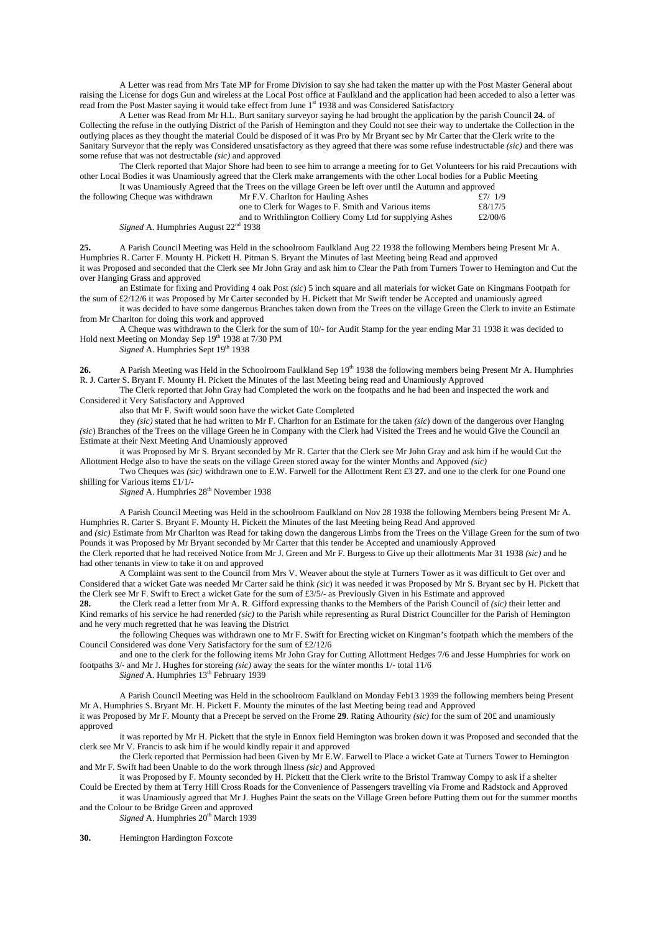A Letter was read from Mrs Tate MP for Frome Division to say she had taken the matter up with the Post Master General about raising the License for dogs Gun and wireless at the Local Post office at Faulkland and the application had been acceded to also a letter was read from the Post Master saying it would take effect from June 1st 1938 and was Considered Satisfactory

A Letter was Read from Mr H.L. Burt sanitary surveyor saying he had brought the application by the parish Council **24.** of Collecting the refuse in the outlying District of the Parish of Hemington and they Could not see their way to undertake the Collection in the outlying places as they thought the material Could be disposed of it was Pro by Mr Bryant sec by Mr Carter that the Clerk write to the Sanitary Surveyor that the reply was Considered unsatisfactory as they agreed that there was some refuse indestructable *(sic)* and there was some refuse that was not destructable *(sic)* and approved

The Clerk reported that Major Shore had been to see him to arrange a meeting for to Get Volunteers for his raid Precautions with other Local Bodies it was Unamiously agreed that the Clerk make arrangements with the other Local bodies for a Public Meeting It was Unamiously Agreed that the Trees on the village Green be left over until the Autumn and approved

|                                    | It was channotesty regional that the rices on the vinage sitem be felt over until the ratumni and approved |         |
|------------------------------------|------------------------------------------------------------------------------------------------------------|---------|
| the following Cheque was withdrawn | Mr F.V. Charlton for Hauling Ashes                                                                         | f7/1/9  |
|                                    | one to Clerk for Wages to F. Smith and Various items                                                       | £8/17/5 |
|                                    | and to Writhlington Colliery Comy Ltd for supplying Ashes                                                  | £2/00/6 |
| $\mathbf{r}$ $\mathbf{r}$          | 220 <sup>1</sup> 1020                                                                                      |         |

*Signed A. Humphries August 22<sup>nd</sup> 1938* 

**25.** A Parish Council Meeting was Held in the schoolroom Faulkland Aug 22 1938 the following Members being Present Mr A. Humphries R. Carter F. Mounty H. Pickett H. Pitman S. Bryant the Minutes of last Meeting being Read and approved it was Proposed and seconded that the Clerk see Mr John Gray and ask him to Clear the Path from Turners Tower to Hemington and Cut the over Hanging Grass and approved

an Estimate for fixing and Providing 4 oak Post *(sic*) 5 inch square and all materials for wicket Gate on Kingmans Footpath for the sum of £2/12/6 it was Proposed by Mr Carter seconded by H. Pickett that Mr Swift tender be Accepted and unamiously agreed

it was decided to have some dangerous Branches taken down from the Trees on the village Green the Clerk to invite an Estimate from Mr Charlton for doing this work and approved

A Cheque was withdrawn to the Clerk for the sum of 10/- for Audit Stamp for the year ending Mar 31 1938 it was decided to Hold next Meeting on Monday Sep  $19<sup>th</sup> 1938$  at 7/30 PM

Signed A. Humphries Sept 19<sup>th</sup> 1938

**26.** A Parish Meeting was Held in the Schoolroom Faulkland Sep 19<sup>th</sup> 1938 the following members being Present Mr A. Humphries R. J. Carter S. Bryant F. Mounty H. Pickett the Minutes of the last Meeting being read and Unamiously Approved

The Clerk reported that John Gray had Completed the work on the footpaths and he had been and inspected the work and Considered it Very Satisfactory and Approved

also that Mr F. Swift would soon have the wicket Gate Completed

they *(sic)* stated that he had written to Mr F. Charlton for an Estimate for the taken *(sic*) down of the dangerous over Hanglng *(sic)* Branches of the Trees on the village Green he in Company with the Clerk had Visited the Trees and he would Give the Council an Estimate at their Next Meeting And Unamiously approved

it was Proposed by Mr S. Bryant seconded by Mr R. Carter that the Clerk see Mr John Gray and ask him if he would Cut the Allottment Hedge also to have the seats on the village Green stored away for the winter Months and Appoved *(sic)* 

Two Cheques was *(sic)* withdrawn one to E.W. Farwell for the Allottment Rent £3 **27.** and one to the clerk for one Pound one shilling for Various items £1/1/-

*Signed* A. Humphries  $28<sup>th</sup>$  November 1938

A Parish Council Meeting was Held in the schoolroom Faulkland on Nov 28 1938 the following Members being Present Mr A. Humphries R. Carter S. Bryant F. Mounty H. Pickett the Minutes of the last Meeting being Read And approved

and *(sic)* Estimate from Mr Charlton was Read for taking down the dangerous Limbs from the Trees on the Village Green for the sum of two Pounds it was Proposed by Mr Bryant seconded by Mr Carter that this tender be Accepted and unamiously Approved the Clerk reported that he had received Notice from Mr J. Green and Mr F. Burgess to Give up their allottments Mar 31 1938 *(sic)* and he had other tenants in view to take it on and approved

A Complaint was sent to the Council from Mrs V. Weaver about the style at Turners Tower as it was difficult to Get over and Considered that a wicket Gate was needed Mr Carter said he think *(sic*) it was needed it was Proposed by Mr S. Bryant sec by H. Pickett that the Clerk see Mr F. Swift to Erect a wicket Gate for the sum of £3/5/- as Previously Given in his Estimate and approved<br>28. The Clerk read a letter from Mr A. R. Gifford expressing thanks to the Members of the Parish Coun

**28.** the Clerk read a letter from Mr A. R. Gifford expressing thanks to the Members of the Parish Council of *(sic)* their letter and Kind remarks of his service he had renerded *(sic)* to the Parish while representing as Rural District Counciller for the Parish of Hemington and he very much regretted that he was leaving the District

the following Cheques was withdrawn one to Mr F. Swift for Erecting wicket on Kingman's footpath which the members of the Council Considered was done Very Satisfactory for the sum of £2/12/6

and one to the clerk for the following items Mr John Gray for Cutting Allottment Hedges 7/6 and Jesse Humphries for work on footpaths 3/- and Mr J. Hughes for storeing *(sic)* away the seats for the winter months 1/- total 11/6

*Signed* A. Humphries  $13<sup>th</sup>$  February 1939

A Parish Council Meeting was Held in the schoolroom Faulkland on Monday Feb13 1939 the following members being Present Mr A. Humphries S. Bryant Mr. H. Pickett F. Mounty the minutes of the last Meeting being read and Approved it was Proposed by Mr F. Mounty that a Precept be served on the Frome **29**. Rating Athourity *(sic)* for the sum of 20£ and unamiously approved

it was reported by Mr H. Pickett that the style in Ennox field Hemington was broken down it was Proposed and seconded that the clerk see Mr V. Francis to ask him if he would kindly repair it and approved

the Clerk reported that Permission had been Given by Mr E.W. Farwell to Place a wicket Gate at Turners Tower to Hemington and Mr F. Swift had been Unable to do the work through Ilness *(sic)* and Approved

it was Proposed by F. Mounty seconded by H. Pickett that the Clerk write to the Bristol Tramway Compy to ask if a shelter Could be Erected by them at Terry Hill Cross Roads for the Convenience of Passengers travelling via Frome and Radstock and Approved

it was Unamiously agreed that Mr J. Hughes Paint the seats on the Village Green before Putting them out for the summer months and the Colour to be Bridge Green and approved

*Signed* A. Humphries 20<sup>th</sup> March 1939

**30.** Hemington Hardington Foxcote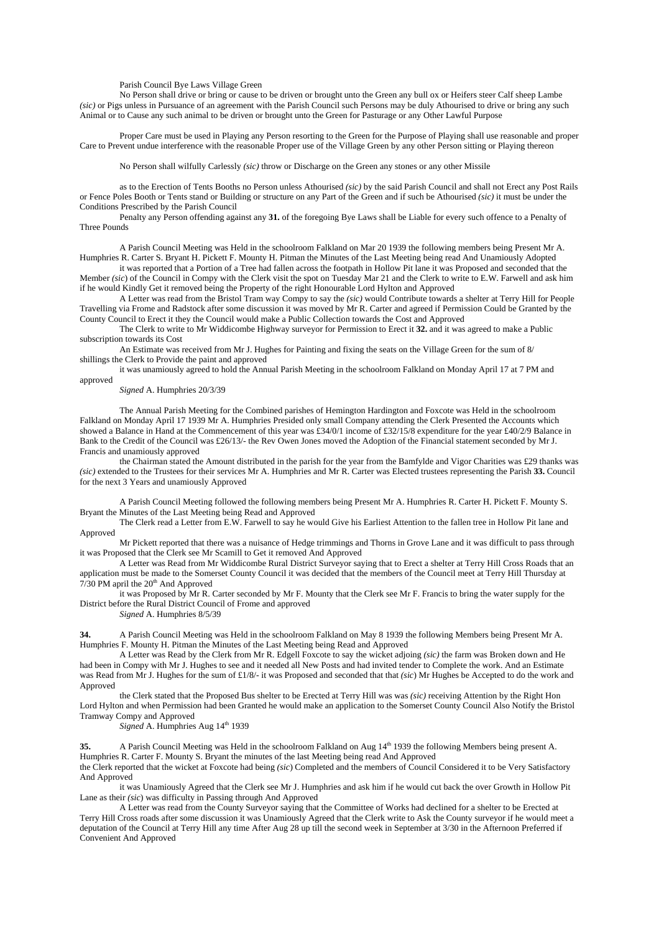Parish Council Bye Laws Village Green

No Person shall drive or bring or cause to be driven or brought unto the Green any bull ox or Heifers steer Calf sheep Lambe *(sic)* or Pigs unless in Pursuance of an agreement with the Parish Council such Persons may be duly Athourised to drive or bring any such Animal or to Cause any such animal to be driven or brought unto the Green for Pasturage or any Other Lawful Purpose

Proper Care must be used in Playing any Person resorting to the Green for the Purpose of Playing shall use reasonable and proper Care to Prevent undue interference with the reasonable Proper use of the Village Green by any other Person sitting or Playing thereon

No Person shall wilfully Carlessly *(sic)* throw or Discharge on the Green any stones or any other Missile

as to the Erection of Tents Booths no Person unless Athourised *(sic)* by the said Parish Council and shall not Erect any Post Rails or Fence Poles Booth or Tents stand or Building or structure on any Part of the Green and if such be Athourised *(sic)* it must be under the Conditions Prescribed by the Parish Council

Penalty any Person offending against any **31.** of the foregoing Bye Laws shall be Liable for every such offence to a Penalty of Three Pounds

A Parish Council Meeting was Held in the schoolroom Falkland on Mar 20 1939 the following members being Present Mr A. Humphries R. Carter S. Bryant H. Pickett F. Mounty H. Pitman the Minutes of the Last Meeting being read And Unamiously Adopted

it was reported that a Portion of a Tree had fallen across the footpath in Hollow Pit lane it was Proposed and seconded that the Member *(sic*) of the Council in Compy with the Clerk visit the spot on Tuesday Mar 21 and the Clerk to write to E.W. Farwell and ask him if he would Kindly Get it removed being the Property of the right Honourable Lord Hylton and Approved

A Letter was read from the Bristol Tram way Compy to say the *(sic)* would Contribute towards a shelter at Terry Hill for People Travelling via Frome and Radstock after some discussion it was moved by Mr R. Carter and agreed if Permission Could be Granted by the County Council to Erect it they the Council would make a Public Collection towards the Cost and Approved

The Clerk to write to Mr Widdicombe Highway surveyor for Permission to Erect it **32.** and it was agreed to make a Public subscription towards its Cost

An Estimate was received from Mr J. Hughes for Painting and fixing the seats on the Village Green for the sum of 8/ shillings the Clerk to Provide the paint and approved

it was unamiously agreed to hold the Annual Parish Meeting in the schoolroom Falkland on Monday April 17 at 7 PM and approved

*Signed* A. Humphries 20/3/39

The Annual Parish Meeting for the Combined parishes of Hemington Hardington and Foxcote was Held in the schoolroom Falkland on Monday April 17 1939 Mr A. Humphries Presided only small Company attending the Clerk Presented the Accounts which showed a Balance in Hand at the Commencement of this year was £34/0/1 income of £32/15/8 expenditure for the year £40/2/9 Balance in Bank to the Credit of the Council was £26/13/- the Rev Owen Jones moved the Adoption of the Financial statement seconded by Mr J. Francis and unamiously approved

the Chairman stated the Amount distributed in the parish for the year from the Bamfylde and Vigor Charities was £29 thanks was *(sic)* extended to the Trustees for their services Mr A. Humphries and Mr R. Carter was Elected trustees representing the Parish **33.** Council for the next 3 Years and unamiously Approved

A Parish Council Meeting followed the following members being Present Mr A. Humphries R. Carter H. Pickett F. Mounty S. Bryant the Minutes of the Last Meeting being Read and Approved

The Clerk read a Letter from E.W. Farwell to say he would Give his Earliest Attention to the fallen tree in Hollow Pit lane and Approved

Mr Pickett reported that there was a nuisance of Hedge trimmings and Thorns in Grove Lane and it was difficult to pass through it was Proposed that the Clerk see Mr Scamill to Get it removed And Approved

A Letter was Read from Mr Widdicombe Rural District Surveyor saying that to Erect a shelter at Terry Hill Cross Roads that an application must be made to the Somerset County Council it was decided that the members of the Council meet at Terry Hill Thursday at  $7/30$  PM april the  $20<sup>th</sup>$  And Approved

it was Proposed by Mr R. Carter seconded by Mr F. Mounty that the Clerk see Mr F. Francis to bring the water supply for the District before the Rural District Council of Frome and approved

*Signed* A. Humphries 8/5/39

**34.** A Parish Council Meeting was Held in the schoolroom Falkland on May 8 1939 the following Members being Present Mr A. Humphries F. Mounty H. Pitman the Minutes of the Last Meeting being Read and Approved

A Letter was Read by the Clerk from Mr R. Edgell Foxcote to say the wicket adjoing *(sic)* the farm was Broken down and He had been in Compy with Mr J. Hughes to see and it needed all New Posts and had invited tender to Complete the work. And an Estimate was Read from Mr J. Hughes for the sum of £1/8/- it was Proposed and seconded that that *(sic*) Mr Hughes be Accepted to do the work and Approved

the Clerk stated that the Proposed Bus shelter to be Erected at Terry Hill was was *(sic)* receiving Attention by the Right Hon Lord Hylton and when Permission had been Granted he would make an application to the Somerset County Council Also Notify the Bristol Tramway Compy and Approved

*Signed* A. Humphries Aug 14<sup>th</sup> 1939

**35.** A Parish Council Meeting was Held in the schoolroom Falkland on Aug 14<sup>th</sup> 1939 the following Members being present A. Humphries R. Carter F. Mounty S. Bryant the minutes of the last Meeting being read And Approved

the Clerk reported that the wicket at Foxcote had being *(sic*) Completed and the members of Council Considered it to be Very Satisfactory And Approved

it was Unamiously Agreed that the Clerk see Mr J. Humphries and ask him if he would cut back the over Growth in Hollow Pit Lane as their *(sic*) was difficulty in Passing through And Approved

A Letter was read from the County Surveyor saying that the Committee of Works had declined for a shelter to be Erected at Terry Hill Cross roads after some discussion it was Unamiously Agreed that the Clerk write to Ask the County surveyor if he would meet a deputation of the Council at Terry Hill any time After Aug 28 up till the second week in September at 3/30 in the Afternoon Preferred if Convenient And Approved